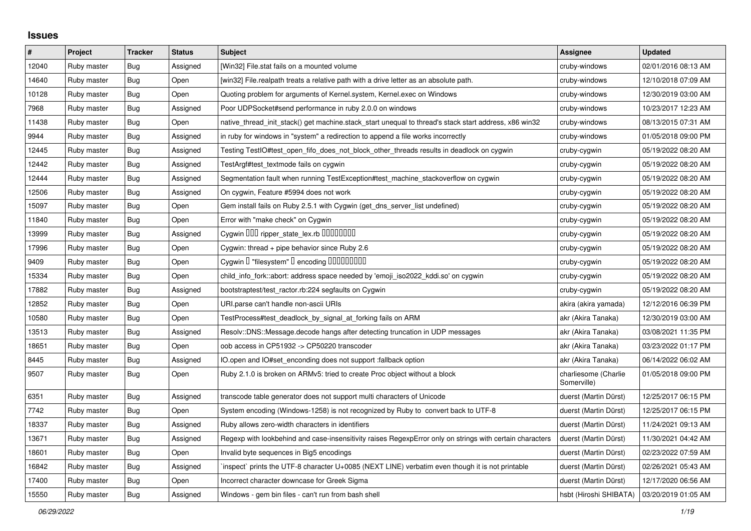## **Issues**

| $\pmb{\#}$ | Project     | <b>Tracker</b> | <b>Status</b> | <b>Subject</b>                                                                                           | Assignee                            | <b>Updated</b>      |
|------------|-------------|----------------|---------------|----------------------------------------------------------------------------------------------------------|-------------------------------------|---------------------|
| 12040      | Ruby master | Bug            | Assigned      | [Win32] File.stat fails on a mounted volume                                                              | cruby-windows                       | 02/01/2016 08:13 AM |
| 14640      | Ruby master | Bug            | Open          | [win32] File.realpath treats a relative path with a drive letter as an absolute path.                    | cruby-windows                       | 12/10/2018 07:09 AM |
| 10128      | Ruby master | Bug            | Open          | Quoting problem for arguments of Kernel.system, Kernel.exec on Windows                                   | cruby-windows                       | 12/30/2019 03:00 AM |
| 7968       | Ruby master | Bug            | Assigned      | Poor UDPSocket#send performance in ruby 2.0.0 on windows                                                 | cruby-windows                       | 10/23/2017 12:23 AM |
| 11438      | Ruby master | <b>Bug</b>     | Open          | native thread init stack() get machine stack start unequal to thread's stack start address, x86 win32    | cruby-windows                       | 08/13/2015 07:31 AM |
| 9944       | Ruby master | Bug            | Assigned      | in ruby for windows in "system" a redirection to append a file works incorrectly                         | cruby-windows                       | 01/05/2018 09:00 PM |
| 12445      | Ruby master | <b>Bug</b>     | Assigned      | Testing TestIO#test_open_fifo_does_not_block_other_threads results in deadlock on cygwin                 | cruby-cygwin                        | 05/19/2022 08:20 AM |
| 12442      | Ruby master | Bug            | Assigned      | TestArgf#test textmode fails on cygwin                                                                   | cruby-cygwin                        | 05/19/2022 08:20 AM |
| 12444      | Ruby master | <b>Bug</b>     | Assigned      | Segmentation fault when running TestException#test_machine_stackoverflow on cygwin                       | cruby-cygwin                        | 05/19/2022 08:20 AM |
| 12506      | Ruby master | <b>Bug</b>     | Assigned      | On cygwin, Feature #5994 does not work                                                                   | cruby-cygwin                        | 05/19/2022 08:20 AM |
| 15097      | Ruby master | <b>Bug</b>     | Open          | Gem install fails on Ruby 2.5.1 with Cygwin (get_dns_server_list undefined)                              | cruby-cygwin                        | 05/19/2022 08:20 AM |
| 11840      | Ruby master | <b>Bug</b>     | Open          | Error with "make check" on Cygwin                                                                        | cruby-cygwin                        | 05/19/2022 08:20 AM |
| 13999      | Ruby master | <b>Bug</b>     | Assigned      | Cygwin DDD ripper_state_lex.rb DDDDDDDD                                                                  | cruby-cygwin                        | 05/19/2022 08:20 AM |
| 17996      | Ruby master | <b>Bug</b>     | Open          | Cygwin: thread + pipe behavior since Ruby 2.6                                                            | cruby-cygwin                        | 05/19/2022 08:20 AM |
| 9409       | Ruby master | <b>Bug</b>     | Open          | Cygwin I "filesystem" I encoding IIIIIIIIIIIII                                                           | cruby-cygwin                        | 05/19/2022 08:20 AM |
| 15334      | Ruby master | Bug            | Open          | child_info_fork::abort: address space needed by 'emoji_iso2022_kddi.so' on cygwin                        | cruby-cygwin                        | 05/19/2022 08:20 AM |
| 17882      | Ruby master | <b>Bug</b>     | Assigned      | bootstraptest/test_ractor.rb:224 segfaults on Cygwin                                                     | cruby-cygwin                        | 05/19/2022 08:20 AM |
| 12852      | Ruby master | Bug            | Open          | URI.parse can't handle non-ascii URIs                                                                    | akira (akira yamada)                | 12/12/2016 06:39 PM |
| 10580      | Ruby master | <b>Bug</b>     | Open          | TestProcess#test deadlock by signal at forking fails on ARM                                              | akr (Akira Tanaka)                  | 12/30/2019 03:00 AM |
| 13513      | Ruby master | Bug            | Assigned      | Resolv::DNS::Message.decode hangs after detecting truncation in UDP messages                             | akr (Akira Tanaka)                  | 03/08/2021 11:35 PM |
| 18651      | Ruby master | Bug            | Open          | oob access in CP51932 -> CP50220 transcoder                                                              | akr (Akira Tanaka)                  | 03/23/2022 01:17 PM |
| 8445       | Ruby master | Bug            | Assigned      | IO.open and IO#set_enconding does not support :fallback option                                           | akr (Akira Tanaka)                  | 06/14/2022 06:02 AM |
| 9507       | Ruby master | <b>Bug</b>     | Open          | Ruby 2.1.0 is broken on ARMv5: tried to create Proc object without a block                               | charliesome (Charlie<br>Somerville) | 01/05/2018 09:00 PM |
| 6351       | Ruby master | <b>Bug</b>     | Assigned      | transcode table generator does not support multi characters of Unicode                                   | duerst (Martin Dürst)               | 12/25/2017 06:15 PM |
| 7742       | Ruby master | Bug            | Open          | System encoding (Windows-1258) is not recognized by Ruby to convert back to UTF-8                        | duerst (Martin Dürst)               | 12/25/2017 06:15 PM |
| 18337      | Ruby master | <b>Bug</b>     | Assigned      | Ruby allows zero-width characters in identifiers                                                         | duerst (Martin Dürst)               | 11/24/2021 09:13 AM |
| 13671      | Ruby master | <b>Bug</b>     | Assigned      | Regexp with lookbehind and case-insensitivity raises RegexpError only on strings with certain characters | duerst (Martin Dürst)               | 11/30/2021 04:42 AM |
| 18601      | Ruby master | <b>Bug</b>     | Open          | Invalid byte sequences in Big5 encodings                                                                 | duerst (Martin Dürst)               | 02/23/2022 07:59 AM |
| 16842      | Ruby master | <b>Bug</b>     | Assigned      | inspect` prints the UTF-8 character U+0085 (NEXT LINE) verbatim even though it is not printable          | duerst (Martin Dürst)               | 02/26/2021 05:43 AM |
| 17400      | Ruby master | <b>Bug</b>     | Open          | Incorrect character downcase for Greek Sigma                                                             | duerst (Martin Dürst)               | 12/17/2020 06:56 AM |
| 15550      | Ruby master | Bug            | Assigned      | Windows - gem bin files - can't run from bash shell                                                      | hsbt (Hiroshi SHIBATA)              | 03/20/2019 01:05 AM |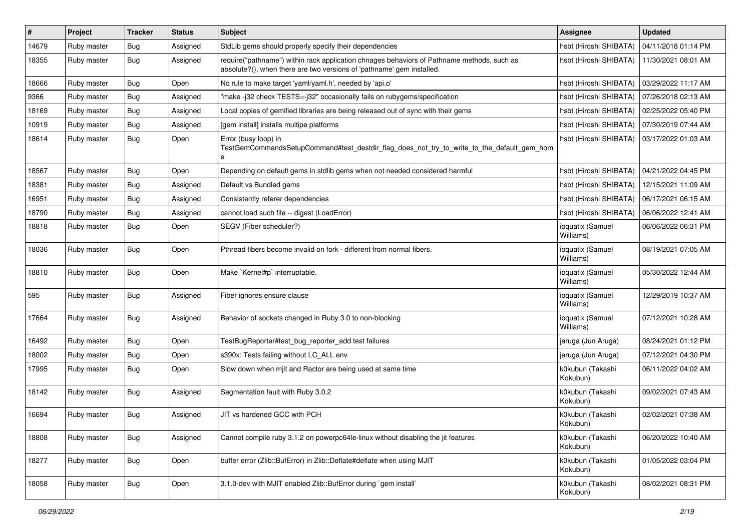| $\vert$ # | Project     | <b>Tracker</b> | <b>Status</b> | <b>Subject</b>                                                                                                                                                      | <b>Assignee</b>               | <b>Updated</b>      |
|-----------|-------------|----------------|---------------|---------------------------------------------------------------------------------------------------------------------------------------------------------------------|-------------------------------|---------------------|
| 14679     | Ruby master | Bug            | Assigned      | StdLib gems should properly specify their dependencies                                                                                                              | hsbt (Hiroshi SHIBATA)        | 04/11/2018 01:14 PM |
| 18355     | Ruby master | Bug            | Assigned      | require("pathname") within rack application chnages behaviors of Pathname methods, such as<br>absolute?(), when there are two versions of 'pathname' gem installed. | hsbt (Hiroshi SHIBATA)        | 11/30/2021 08:01 AM |
| 18666     | Ruby master | Bug            | Open          | No rule to make target 'yaml/yaml.h', needed by 'api.o'                                                                                                             | hsbt (Hiroshi SHIBATA)        | 03/29/2022 11:17 AM |
| 9366      | Ruby master | <b>Bug</b>     | Assigned      | "make -j32 check TESTS=-j32" occasionally fails on rubygems/specification                                                                                           | hsbt (Hiroshi SHIBATA)        | 07/26/2018 02:13 AM |
| 18169     | Ruby master | Bug            | Assigned      | Local copies of gemified libraries are being released out of sync with their gems                                                                                   | hsbt (Hiroshi SHIBATA)        | 02/25/2022 05:40 PM |
| 10919     | Ruby master | Bug            | Assigned      | [gem install] installs multipe platforms                                                                                                                            | hsbt (Hiroshi SHIBATA)        | 07/30/2019 07:44 AM |
| 18614     | Ruby master | Bug            | Open          | Error (busy loop) in<br>TestGemCommandsSetupCommand#test_destdir_flag_does_not_try_to_write_to_the_default_gem_hom<br>e                                             | hsbt (Hiroshi SHIBATA)        | 03/17/2022 01:03 AM |
| 18567     | Ruby master | Bug            | Open          | Depending on default gems in stdlib gems when not needed considered harmful                                                                                         | hsbt (Hiroshi SHIBATA)        | 04/21/2022 04:45 PM |
| 18381     | Ruby master | Bug            | Assigned      | Default vs Bundled gems                                                                                                                                             | hsbt (Hiroshi SHIBATA)        | 12/15/2021 11:09 AM |
| 16951     | Ruby master | <b>Bug</b>     | Assigned      | Consistently referer dependencies                                                                                                                                   | hsbt (Hiroshi SHIBATA)        | 06/17/2021 06:15 AM |
| 18790     | Ruby master | Bug            | Assigned      | cannot load such file -- digest (LoadError)                                                                                                                         | hsbt (Hiroshi SHIBATA)        | 06/06/2022 12:41 AM |
| 18818     | Ruby master | Bug            | Open          | SEGV (Fiber scheduler?)                                                                                                                                             | ioquatix (Samuel<br>Williams) | 06/06/2022 06:31 PM |
| 18036     | Ruby master | Bug            | Open          | Pthread fibers become invalid on fork - different from normal fibers.                                                                                               | ioquatix (Samuel<br>Williams) | 08/19/2021 07:05 AM |
| 18810     | Ruby master | Bug            | Open          | Make `Kernel#p` interruptable.                                                                                                                                      | ioquatix (Samuel<br>Williams) | 05/30/2022 12:44 AM |
| 595       | Ruby master | Bug            | Assigned      | Fiber ignores ensure clause                                                                                                                                         | ioquatix (Samuel<br>Williams) | 12/29/2019 10:37 AM |
| 17664     | Ruby master | Bug            | Assigned      | Behavior of sockets changed in Ruby 3.0 to non-blocking                                                                                                             | ioquatix (Samuel<br>Williams) | 07/12/2021 10:28 AM |
| 16492     | Ruby master | Bug            | Open          | TestBugReporter#test_bug_reporter_add test failures                                                                                                                 | jaruga (Jun Aruga)            | 08/24/2021 01:12 PM |
| 18002     | Ruby master | <b>Bug</b>     | Open          | s390x: Tests failing without LC_ALL env                                                                                                                             | jaruga (Jun Aruga)            | 07/12/2021 04:30 PM |
| 17995     | Ruby master | Bug            | Open          | Slow down when mjit and Ractor are being used at same time                                                                                                          | k0kubun (Takashi<br>Kokubun)  | 06/11/2022 04:02 AM |
| 18142     | Ruby master | Bug            | Assigned      | Segmentation fault with Ruby 3.0.2                                                                                                                                  | k0kubun (Takashi<br>Kokubun)  | 09/02/2021 07:43 AM |
| 16694     | Ruby master | Bug            | Assigned      | JIT vs hardened GCC with PCH                                                                                                                                        | k0kubun (Takashi<br>Kokubun)  | 02/02/2021 07:38 AM |
| 18808     | Ruby master | Bug            | Assigned      | Cannot compile ruby 3.1.2 on powerpc64le-linux without disabling the jit features                                                                                   | k0kubun (Takashi<br>Kokubun)  | 06/20/2022 10:40 AM |
| 18277     | Ruby master | <b>Bug</b>     | Open          | buffer error (Zlib::BufError) in Zlib::Deflate#deflate when using MJIT                                                                                              | k0kubun (Takashi<br>Kokubun)  | 01/05/2022 03:04 PM |
| 18058     | Ruby master | <b>Bug</b>     | Open          | 3.1.0-dev with MJIT enabled Zlib::BufError during `gem install`                                                                                                     | k0kubun (Takashi<br>Kokubun)  | 08/02/2021 08:31 PM |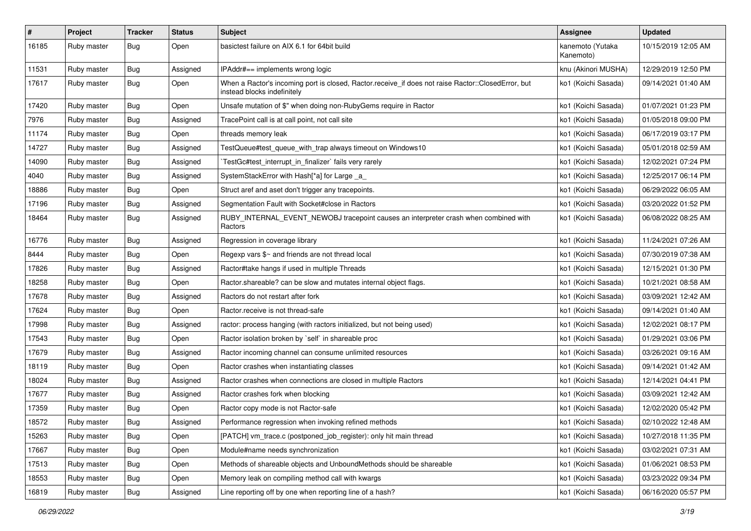| $\vert$ # | Project     | <b>Tracker</b> | <b>Status</b> | <b>Subject</b>                                                                                                                    | Assignee                      | <b>Updated</b>      |
|-----------|-------------|----------------|---------------|-----------------------------------------------------------------------------------------------------------------------------------|-------------------------------|---------------------|
| 16185     | Ruby master | Bug            | Open          | basictest failure on AIX 6.1 for 64bit build                                                                                      | kanemoto (Yutaka<br>Kanemoto) | 10/15/2019 12:05 AM |
| 11531     | Ruby master | Bug            | Assigned      | IPAddr#== implements wrong logic                                                                                                  | knu (Akinori MUSHA)           | 12/29/2019 12:50 PM |
| 17617     | Ruby master | Bug            | Open          | When a Ractor's incoming port is closed, Ractor.receive_if does not raise Ractor::ClosedError, but<br>instead blocks indefinitely | ko1 (Koichi Sasada)           | 09/14/2021 01:40 AM |
| 17420     | Ruby master | Bug            | Open          | Unsafe mutation of \$" when doing non-RubyGems require in Ractor                                                                  | ko1 (Koichi Sasada)           | 01/07/2021 01:23 PM |
| 7976      | Ruby master | Bug            | Assigned      | TracePoint call is at call point, not call site                                                                                   | ko1 (Koichi Sasada)           | 01/05/2018 09:00 PM |
| 11174     | Ruby master | <b>Bug</b>     | Open          | threads memory leak                                                                                                               | ko1 (Koichi Sasada)           | 06/17/2019 03:17 PM |
| 14727     | Ruby master | Bug            | Assigned      | TestQueue#test_queue_with_trap always timeout on Windows10                                                                        | ko1 (Koichi Sasada)           | 05/01/2018 02:59 AM |
| 14090     | Ruby master | Bug            | Assigned      | TestGc#test_interrupt_in_finalizer` fails very rarely                                                                             | ko1 (Koichi Sasada)           | 12/02/2021 07:24 PM |
| 4040      | Ruby master | Bug            | Assigned      | SystemStackError with Hash[*a] for Large _a_                                                                                      | ko1 (Koichi Sasada)           | 12/25/2017 06:14 PM |
| 18886     | Ruby master | Bug            | Open          | Struct aref and aset don't trigger any tracepoints.                                                                               | ko1 (Koichi Sasada)           | 06/29/2022 06:05 AM |
| 17196     | Ruby master | Bug            | Assigned      | Segmentation Fault with Socket#close in Ractors                                                                                   | ko1 (Koichi Sasada)           | 03/20/2022 01:52 PM |
| 18464     | Ruby master | Bug            | Assigned      | RUBY_INTERNAL_EVENT_NEWOBJ tracepoint causes an interpreter crash when combined with<br>Ractors                                   | ko1 (Koichi Sasada)           | 06/08/2022 08:25 AM |
| 16776     | Ruby master | Bug            | Assigned      | Regression in coverage library                                                                                                    | ko1 (Koichi Sasada)           | 11/24/2021 07:26 AM |
| 8444      | Ruby master | Bug            | Open          | Regexp vars \$~ and friends are not thread local                                                                                  | ko1 (Koichi Sasada)           | 07/30/2019 07:38 AM |
| 17826     | Ruby master | Bug            | Assigned      | Ractor#take hangs if used in multiple Threads                                                                                     | ko1 (Koichi Sasada)           | 12/15/2021 01:30 PM |
| 18258     | Ruby master | <b>Bug</b>     | Open          | Ractor shareable? can be slow and mutates internal object flags.                                                                  | ko1 (Koichi Sasada)           | 10/21/2021 08:58 AM |
| 17678     | Ruby master | Bug            | Assigned      | Ractors do not restart after fork                                                                                                 | ko1 (Koichi Sasada)           | 03/09/2021 12:42 AM |
| 17624     | Ruby master | Bug            | Open          | Ractor.receive is not thread-safe                                                                                                 | ko1 (Koichi Sasada)           | 09/14/2021 01:40 AM |
| 17998     | Ruby master | Bug            | Assigned      | ractor: process hanging (with ractors initialized, but not being used)                                                            | ko1 (Koichi Sasada)           | 12/02/2021 08:17 PM |
| 17543     | Ruby master | Bug            | Open          | Ractor isolation broken by `self` in shareable proc                                                                               | ko1 (Koichi Sasada)           | 01/29/2021 03:06 PM |
| 17679     | Ruby master | Bug            | Assigned      | Ractor incoming channel can consume unlimited resources                                                                           | ko1 (Koichi Sasada)           | 03/26/2021 09:16 AM |
| 18119     | Ruby master | <b>Bug</b>     | Open          | Ractor crashes when instantiating classes                                                                                         | ko1 (Koichi Sasada)           | 09/14/2021 01:42 AM |
| 18024     | Ruby master | Bug            | Assigned      | Ractor crashes when connections are closed in multiple Ractors                                                                    | ko1 (Koichi Sasada)           | 12/14/2021 04:41 PM |
| 17677     | Ruby master | Bug            | Assigned      | Ractor crashes fork when blocking                                                                                                 | ko1 (Koichi Sasada)           | 03/09/2021 12:42 AM |
| 17359     | Ruby master | Bug            | Open          | Ractor copy mode is not Ractor-safe                                                                                               | ko1 (Koichi Sasada)           | 12/02/2020 05:42 PM |
| 18572     | Ruby master | Bug            | Assigned      | Performance regression when invoking refined methods                                                                              | ko1 (Koichi Sasada)           | 02/10/2022 12:48 AM |
| 15263     | Ruby master | Bug            | Open          | [PATCH] vm_trace.c (postponed_job_register): only hit main thread                                                                 | ko1 (Koichi Sasada)           | 10/27/2018 11:35 PM |
| 17667     | Ruby master | Bug            | Open          | Module#name needs synchronization                                                                                                 | ko1 (Koichi Sasada)           | 03/02/2021 07:31 AM |
| 17513     | Ruby master | Bug            | Open          | Methods of shareable objects and UnboundMethods should be shareable                                                               | ko1 (Koichi Sasada)           | 01/06/2021 08:53 PM |
| 18553     | Ruby master | Bug            | Open          | Memory leak on compiling method call with kwargs                                                                                  | ko1 (Koichi Sasada)           | 03/23/2022 09:34 PM |
| 16819     | Ruby master | <b>Bug</b>     | Assigned      | Line reporting off by one when reporting line of a hash?                                                                          | ko1 (Koichi Sasada)           | 06/16/2020 05:57 PM |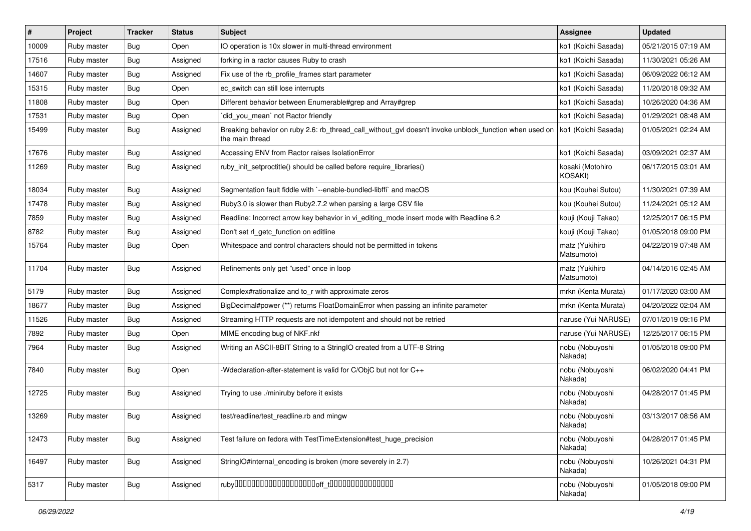| $\vert$ # | Project     | <b>Tracker</b> | <b>Status</b> | Subject                                                                                                                   | <b>Assignee</b>                    | <b>Updated</b>      |
|-----------|-------------|----------------|---------------|---------------------------------------------------------------------------------------------------------------------------|------------------------------------|---------------------|
| 10009     | Ruby master | Bug            | Open          | IO operation is 10x slower in multi-thread environment                                                                    | ko1 (Koichi Sasada)                | 05/21/2015 07:19 AM |
| 17516     | Ruby master | Bug            | Assigned      | forking in a ractor causes Ruby to crash                                                                                  | ko1 (Koichi Sasada)                | 11/30/2021 05:26 AM |
| 14607     | Ruby master | Bug            | Assigned      | Fix use of the rb_profile_frames start parameter                                                                          | ko1 (Koichi Sasada)                | 06/09/2022 06:12 AM |
| 15315     | Ruby master | <b>Bug</b>     | Open          | ec_switch can still lose interrupts                                                                                       | ko1 (Koichi Sasada)                | 11/20/2018 09:32 AM |
| 11808     | Ruby master | Bug            | Open          | Different behavior between Enumerable#grep and Array#grep                                                                 | ko1 (Koichi Sasada)                | 10/26/2020 04:36 AM |
| 17531     | Ruby master | Bug            | Open          | did you mean' not Ractor friendly                                                                                         | ko1 (Koichi Sasada)                | 01/29/2021 08:48 AM |
| 15499     | Ruby master | Bug            | Assigned      | Breaking behavior on ruby 2.6: rb_thread_call_without_gvl doesn't invoke unblock_function when used on<br>the main thread | ko1 (Koichi Sasada)                | 01/05/2021 02:24 AM |
| 17676     | Ruby master | Bug            | Assigned      | Accessing ENV from Ractor raises IsolationError                                                                           | ko1 (Koichi Sasada)                | 03/09/2021 02:37 AM |
| 11269     | Ruby master | <b>Bug</b>     | Assigned      | ruby_init_setproctitle() should be called before require_libraries()                                                      | kosaki (Motohiro<br><b>KOSAKI)</b> | 06/17/2015 03:01 AM |
| 18034     | Ruby master | Bug            | Assigned      | Segmentation fault fiddle with `--enable-bundled-libffi` and macOS                                                        | kou (Kouhei Sutou)                 | 11/30/2021 07:39 AM |
| 17478     | Ruby master | Bug            | Assigned      | Ruby3.0 is slower than Ruby2.7.2 when parsing a large CSV file                                                            | kou (Kouhei Sutou)                 | 11/24/2021 05:12 AM |
| 7859      | Ruby master | <b>Bug</b>     | Assigned      | Readline: Incorrect arrow key behavior in vi_editing_mode insert mode with Readline 6.2                                   | kouji (Kouji Takao)                | 12/25/2017 06:15 PM |
| 8782      | Ruby master | Bug            | Assigned      | Don't set rl_getc_function on editline                                                                                    | kouji (Kouji Takao)                | 01/05/2018 09:00 PM |
| 15764     | Ruby master | Bug            | Open          | Whitespace and control characters should not be permitted in tokens                                                       | matz (Yukihiro<br>Matsumoto)       | 04/22/2019 07:48 AM |
| 11704     | Ruby master | Bug            | Assigned      | Refinements only get "used" once in loop                                                                                  | matz (Yukihiro<br>Matsumoto)       | 04/14/2016 02:45 AM |
| 5179      | Ruby master | Bug            | Assigned      | Complex#rationalize and to_r with approximate zeros                                                                       | mrkn (Kenta Murata)                | 01/17/2020 03:00 AM |
| 18677     | Ruby master | Bug            | Assigned      | BigDecimal#power (**) returns FloatDomainError when passing an infinite parameter                                         | mrkn (Kenta Murata)                | 04/20/2022 02:04 AM |
| 11526     | Ruby master | <b>Bug</b>     | Assigned      | Streaming HTTP requests are not idempotent and should not be retried                                                      | naruse (Yui NARUSE)                | 07/01/2019 09:16 PM |
| 7892      | Ruby master | <b>Bug</b>     | Open          | MIME encoding bug of NKF.nkf                                                                                              | naruse (Yui NARUSE)                | 12/25/2017 06:15 PM |
| 7964      | Ruby master | Bug            | Assigned      | Writing an ASCII-8BIT String to a StringIO created from a UTF-8 String                                                    | nobu (Nobuyoshi<br>Nakada)         | 01/05/2018 09:00 PM |
| 7840      | Ruby master | Bug            | Open          | -Wdeclaration-after-statement is valid for C/ObjC but not for C++                                                         | nobu (Nobuyoshi<br>Nakada)         | 06/02/2020 04:41 PM |
| 12725     | Ruby master | Bug            | Assigned      | Trying to use ./miniruby before it exists                                                                                 | nobu (Nobuyoshi<br>Nakada)         | 04/28/2017 01:45 PM |
| 13269     | Ruby master | Bug            | Assigned      | test/readline/test_readline.rb and mingw                                                                                  | nobu (Nobuyoshi<br>Nakada)         | 03/13/2017 08:56 AM |
| 12473     | Ruby master | <b>Bug</b>     | Assigned      | Test failure on fedora with TestTimeExtension#test huge precision                                                         | nobu (Nobuyoshi<br>Nakada)         | 04/28/2017 01:45 PM |
| 16497     | Ruby master | <b>Bug</b>     | Assigned      | StringIO#internal_encoding is broken (more severely in 2.7)                                                               | nobu (Nobuyoshi<br>Nakada)         | 10/26/2021 04:31 PM |
| 5317      | Ruby master | <b>Bug</b>     | Assigned      |                                                                                                                           | nobu (Nobuyoshi<br>Nakada)         | 01/05/2018 09:00 PM |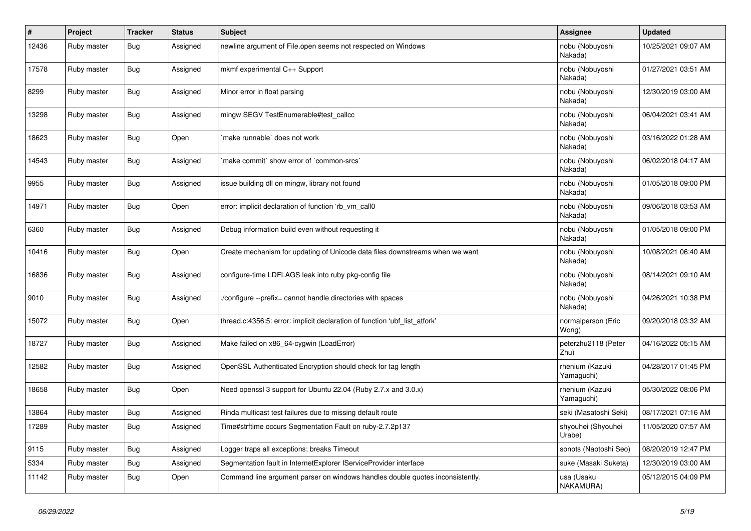| #     | Project     | <b>Tracker</b> | <b>Status</b> | <b>Subject</b>                                                                | <b>Assignee</b>               | <b>Updated</b>      |
|-------|-------------|----------------|---------------|-------------------------------------------------------------------------------|-------------------------------|---------------------|
| 12436 | Ruby master | Bug            | Assigned      | newline argument of File.open seems not respected on Windows                  | nobu (Nobuyoshi<br>Nakada)    | 10/25/2021 09:07 AM |
| 17578 | Ruby master | Bug            | Assigned      | mkmf experimental C++ Support                                                 | nobu (Nobuyoshi<br>Nakada)    | 01/27/2021 03:51 AM |
| 8299  | Ruby master | Bug            | Assigned      | Minor error in float parsing                                                  | nobu (Nobuyoshi<br>Nakada)    | 12/30/2019 03:00 AM |
| 13298 | Ruby master | <b>Bug</b>     | Assigned      | mingw SEGV TestEnumerable#test_callcc                                         | nobu (Nobuyoshi<br>Nakada)    | 06/04/2021 03:41 AM |
| 18623 | Ruby master | Bug            | Open          | make runnable' does not work                                                  | nobu (Nobuyoshi<br>Nakada)    | 03/16/2022 01:28 AM |
| 14543 | Ruby master | Bug            | Assigned      | make commit' show error of 'common-srcs'                                      | nobu (Nobuyoshi<br>Nakada)    | 06/02/2018 04:17 AM |
| 9955  | Ruby master | Bug            | Assigned      | issue building dll on mingw, library not found                                | nobu (Nobuyoshi<br>Nakada)    | 01/05/2018 09:00 PM |
| 14971 | Ruby master | Bug            | Open          | error: implicit declaration of function 'rb_vm_call0                          | nobu (Nobuyoshi<br>Nakada)    | 09/06/2018 03:53 AM |
| 6360  | Ruby master | <b>Bug</b>     | Assigned      | Debug information build even without requesting it                            | nobu (Nobuyoshi<br>Nakada)    | 01/05/2018 09:00 PM |
| 10416 | Ruby master | <b>Bug</b>     | Open          | Create mechanism for updating of Unicode data files downstreams when we want  | nobu (Nobuyoshi<br>Nakada)    | 10/08/2021 06:40 AM |
| 16836 | Ruby master | Bug            | Assigned      | configure-time LDFLAGS leak into ruby pkg-config file                         | nobu (Nobuyoshi<br>Nakada)    | 08/14/2021 09:10 AM |
| 9010  | Ruby master | Bug            | Assigned      | /configure --prefix= cannot handle directories with spaces                    | nobu (Nobuyoshi<br>Nakada)    | 04/26/2021 10:38 PM |
| 15072 | Ruby master | Bug            | Open          | thread.c:4356:5: error: implicit declaration of function 'ubf_list_atfork'    | normalperson (Eric<br>Wong)   | 09/20/2018 03:32 AM |
| 18727 | Ruby master | Bug            | Assigned      | Make failed on x86_64-cygwin (LoadError)                                      | peterzhu2118 (Peter<br>Zhu)   | 04/16/2022 05:15 AM |
| 12582 | Ruby master | Bug            | Assigned      | OpenSSL Authenticated Encryption should check for tag length                  | rhenium (Kazuki<br>Yamaguchi) | 04/28/2017 01:45 PM |
| 18658 | Ruby master | Bug            | Open          | Need openssl 3 support for Ubuntu 22.04 (Ruby 2.7.x and 3.0.x)                | rhenium (Kazuki<br>Yamaguchi) | 05/30/2022 08:06 PM |
| 13864 | Ruby master | <b>Bug</b>     | Assigned      | Rinda multicast test failures due to missing default route                    | seki (Masatoshi Seki)         | 08/17/2021 07:16 AM |
| 17289 | Ruby master | Bug            | Assigned      | Time#strftime occurs Segmentation Fault on ruby-2.7.2p137                     | shyouhei (Shyouhei<br>Urabe)  | 11/05/2020 07:57 AM |
| 9115  | Ruby master | Bug            | Assigned      | Logger traps all exceptions; breaks Timeout                                   | sonots (Naotoshi Seo)         | 08/20/2019 12:47 PM |
| 5334  | Ruby master | <b>Bug</b>     | Assigned      | Segmentation fault in InternetExplorer IServiceProvider interface             | suke (Masaki Suketa)          | 12/30/2019 03:00 AM |
| 11142 | Ruby master | Bug            | Open          | Command line argument parser on windows handles double quotes inconsistently. | usa (Usaku<br>NAKAMURA)       | 05/12/2015 04:09 PM |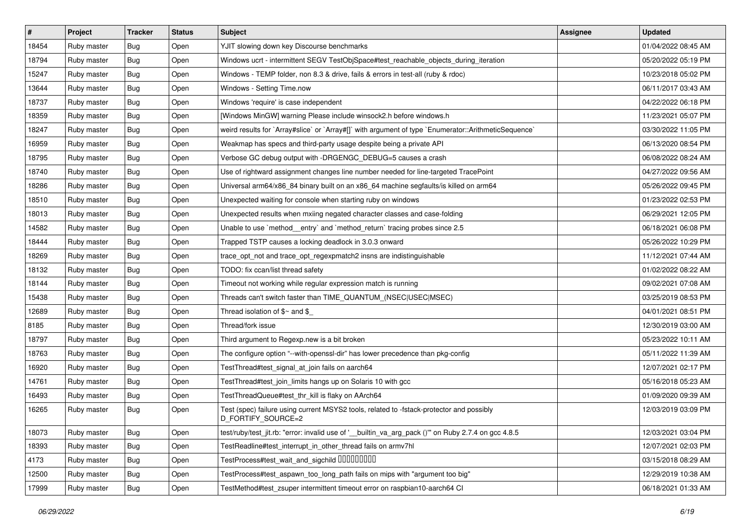| $\sharp$ | Project     | <b>Tracker</b> | <b>Status</b> | Subject                                                                                                        | <b>Assignee</b> | <b>Updated</b>      |
|----------|-------------|----------------|---------------|----------------------------------------------------------------------------------------------------------------|-----------------|---------------------|
| 18454    | Ruby master | Bug            | Open          | YJIT slowing down key Discourse benchmarks                                                                     |                 | 01/04/2022 08:45 AM |
| 18794    | Ruby master | Bug            | Open          | Windows ucrt - intermittent SEGV TestObjSpace#test_reachable_objects_during_iteration                          |                 | 05/20/2022 05:19 PM |
| 15247    | Ruby master | Bug            | Open          | Windows - TEMP folder, non 8.3 & drive, fails & errors in test-all (ruby & rdoc)                               |                 | 10/23/2018 05:02 PM |
| 13644    | Ruby master | Bug            | Open          | Windows - Setting Time.now                                                                                     |                 | 06/11/2017 03:43 AM |
| 18737    | Ruby master | Bug            | Open          | Windows 'require' is case independent                                                                          |                 | 04/22/2022 06:18 PM |
| 18359    | Ruby master | Bug            | Open          | [Windows MinGW] warning Please include winsock2.h before windows.h                                             |                 | 11/23/2021 05:07 PM |
| 18247    | Ruby master | Bug            | Open          | weird results for `Array#slice` or `Array#[]` with argument of type `Enumerator::ArithmeticSequence`           |                 | 03/30/2022 11:05 PM |
| 16959    | Ruby master | Bug            | Open          | Weakmap has specs and third-party usage despite being a private API                                            |                 | 06/13/2020 08:54 PM |
| 18795    | Ruby master | Bug            | Open          | Verbose GC debug output with -DRGENGC_DEBUG=5 causes a crash                                                   |                 | 06/08/2022 08:24 AM |
| 18740    | Ruby master | Bug            | Open          | Use of rightward assignment changes line number needed for line-targeted TracePoint                            |                 | 04/27/2022 09:56 AM |
| 18286    | Ruby master | Bug            | Open          | Universal arm64/x86_84 binary built on an x86_64 machine segfaults/is killed on arm64                          |                 | 05/26/2022 09:45 PM |
| 18510    | Ruby master | Bug            | Open          | Unexpected waiting for console when starting ruby on windows                                                   |                 | 01/23/2022 02:53 PM |
| 18013    | Ruby master | Bug            | Open          | Unexpected results when mxiing negated character classes and case-folding                                      |                 | 06/29/2021 12:05 PM |
| 14582    | Ruby master | Bug            | Open          | Unable to use `method_entry` and `method_return` tracing probes since 2.5                                      |                 | 06/18/2021 06:08 PM |
| 18444    | Ruby master | Bug            | Open          | Trapped TSTP causes a locking deadlock in 3.0.3 onward                                                         |                 | 05/26/2022 10:29 PM |
| 18269    | Ruby master | Bug            | Open          | trace_opt_not and trace_opt_regexpmatch2 insns are indistinguishable                                           |                 | 11/12/2021 07:44 AM |
| 18132    | Ruby master | Bug            | Open          | TODO: fix ccan/list thread safety                                                                              |                 | 01/02/2022 08:22 AM |
| 18144    | Ruby master | Bug            | Open          | Timeout not working while regular expression match is running                                                  |                 | 09/02/2021 07:08 AM |
| 15438    | Ruby master | Bug            | Open          | Threads can't switch faster than TIME_QUANTUM_(NSEC USEC MSEC)                                                 |                 | 03/25/2019 08:53 PM |
| 12689    | Ruby master | Bug            | Open          | Thread isolation of $\gamma$ and $\gamma$                                                                      |                 | 04/01/2021 08:51 PM |
| 8185     | Ruby master | Bug            | Open          | Thread/fork issue                                                                                              |                 | 12/30/2019 03:00 AM |
| 18797    | Ruby master | Bug            | Open          | Third argument to Regexp.new is a bit broken                                                                   |                 | 05/23/2022 10:11 AM |
| 18763    | Ruby master | Bug            | Open          | The configure option "--with-openssl-dir" has lower precedence than pkg-config                                 |                 | 05/11/2022 11:39 AM |
| 16920    | Ruby master | <b>Bug</b>     | Open          | TestThread#test signal at join fails on aarch64                                                                |                 | 12/07/2021 02:17 PM |
| 14761    | Ruby master | Bug            | Open          | TestThread#test_join_limits hangs up on Solaris 10 with gcc                                                    |                 | 05/16/2018 05:23 AM |
| 16493    | Ruby master | Bug            | Open          | TestThreadQueue#test_thr_kill is flaky on AArch64                                                              |                 | 01/09/2020 09:39 AM |
| 16265    | Ruby master | Bug            | Open          | Test (spec) failure using current MSYS2 tools, related to -fstack-protector and possibly<br>D_FORTIFY_SOURCE=2 |                 | 12/03/2019 03:09 PM |
| 18073    | Ruby master | <b>Bug</b>     | Open          | test/ruby/test_jit.rb: "error: invalid use of '__builtin_va_arg_pack ()" on Ruby 2.7.4 on gcc 4.8.5            |                 | 12/03/2021 03:04 PM |
| 18393    | Ruby master | Bug            | Open          | TestReadline#test_interrupt_in_other_thread fails on armv7hl                                                   |                 | 12/07/2021 02:03 PM |
| 4173     | Ruby master | <b>Bug</b>     | Open          | TestProcess#test wait and sigchild DDDDDDDD                                                                    |                 | 03/15/2018 08:29 AM |
| 12500    | Ruby master | Bug            | Open          | TestProcess#test aspawn too long path fails on mips with "argument too big"                                    |                 | 12/29/2019 10:38 AM |
| 17999    | Ruby master | <b>Bug</b>     | Open          | TestMethod#test_zsuper intermittent timeout error on raspbian10-aarch64 CI                                     |                 | 06/18/2021 01:33 AM |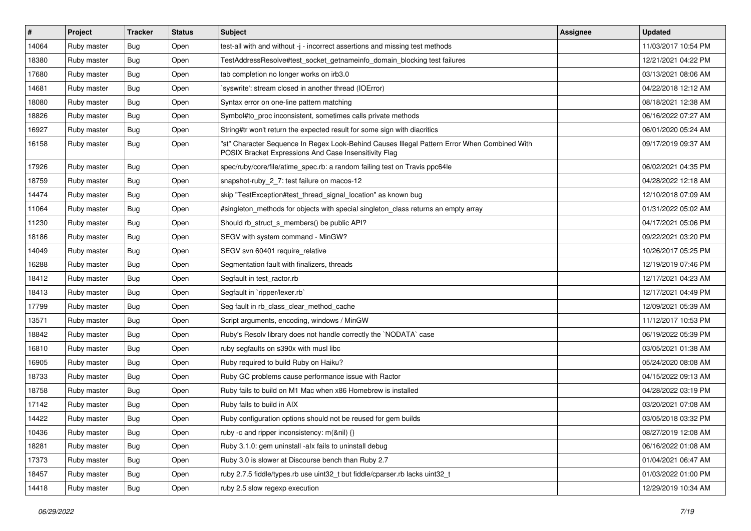| #     | Project     | <b>Tracker</b> | <b>Status</b> | Subject                                                                                                                                               | <b>Assignee</b> | <b>Updated</b>      |
|-------|-------------|----------------|---------------|-------------------------------------------------------------------------------------------------------------------------------------------------------|-----------------|---------------------|
| 14064 | Ruby master | Bug            | Open          | test-all with and without -j - incorrect assertions and missing test methods                                                                          |                 | 11/03/2017 10:54 PM |
| 18380 | Ruby master | Bug            | Open          | TestAddressResolve#test_socket_getnameinfo_domain_blocking test failures                                                                              |                 | 12/21/2021 04:22 PM |
| 17680 | Ruby master | Bug            | Open          | tab completion no longer works on irb3.0                                                                                                              |                 | 03/13/2021 08:06 AM |
| 14681 | Ruby master | Bug            | Open          | 'syswrite': stream closed in another thread (IOError)                                                                                                 |                 | 04/22/2018 12:12 AM |
| 18080 | Ruby master | Bug            | Open          | Syntax error on one-line pattern matching                                                                                                             |                 | 08/18/2021 12:38 AM |
| 18826 | Ruby master | Bug            | Open          | Symbol#to_proc inconsistent, sometimes calls private methods                                                                                          |                 | 06/16/2022 07:27 AM |
| 16927 | Ruby master | Bug            | Open          | String#tr won't return the expected result for some sign with diacritics                                                                              |                 | 06/01/2020 05:24 AM |
| 16158 | Ruby master | Bug            | Open          | "st" Character Sequence In Regex Look-Behind Causes Illegal Pattern Error When Combined With<br>POSIX Bracket Expressions And Case Insensitivity Flag |                 | 09/17/2019 09:37 AM |
| 17926 | Ruby master | Bug            | Open          | spec/ruby/core/file/atime_spec.rb: a random failing test on Travis ppc64le                                                                            |                 | 06/02/2021 04:35 PM |
| 18759 | Ruby master | Bug            | Open          | snapshot-ruby_2_7: test failure on macos-12                                                                                                           |                 | 04/28/2022 12:18 AM |
| 14474 | Ruby master | Bug            | Open          | skip "TestException#test_thread_signal_location" as known bug                                                                                         |                 | 12/10/2018 07:09 AM |
| 11064 | Ruby master | Bug            | Open          | #singleton_methods for objects with special singleton_class returns an empty array                                                                    |                 | 01/31/2022 05:02 AM |
| 11230 | Ruby master | Bug            | Open          | Should rb_struct_s_members() be public API?                                                                                                           |                 | 04/17/2021 05:06 PM |
| 18186 | Ruby master | Bug            | Open          | SEGV with system command - MinGW?                                                                                                                     |                 | 09/22/2021 03:20 PM |
| 14049 | Ruby master | Bug            | Open          | SEGV svn 60401 require relative                                                                                                                       |                 | 10/26/2017 05:25 PM |
| 16288 | Ruby master | Bug            | Open          | Segmentation fault with finalizers, threads                                                                                                           |                 | 12/19/2019 07:46 PM |
| 18412 | Ruby master | Bug            | Open          | Segfault in test_ractor.rb                                                                                                                            |                 | 12/17/2021 04:23 AM |
| 18413 | Ruby master | Bug            | Open          | Segfault in `ripper/lexer.rb`                                                                                                                         |                 | 12/17/2021 04:49 PM |
| 17799 | Ruby master | Bug            | Open          | Seg fault in rb_class_clear_method_cache                                                                                                              |                 | 12/09/2021 05:39 AM |
| 13571 | Ruby master | Bug            | Open          | Script arguments, encoding, windows / MinGW                                                                                                           |                 | 11/12/2017 10:53 PM |
| 18842 | Ruby master | Bug            | Open          | Ruby's Resolv library does not handle correctly the `NODATA` case                                                                                     |                 | 06/19/2022 05:39 PM |
| 16810 | Ruby master | Bug            | Open          | ruby segfaults on s390x with musl libc                                                                                                                |                 | 03/05/2021 01:38 AM |
| 16905 | Ruby master | Bug            | Open          | Ruby required to build Ruby on Haiku?                                                                                                                 |                 | 05/24/2020 08:08 AM |
| 18733 | Ruby master | Bug            | Open          | Ruby GC problems cause performance issue with Ractor                                                                                                  |                 | 04/15/2022 09:13 AM |
| 18758 | Ruby master | Bug            | Open          | Ruby fails to build on M1 Mac when x86 Homebrew is installed                                                                                          |                 | 04/28/2022 03:19 PM |
| 17142 | Ruby master | Bug            | Open          | Ruby fails to build in AIX                                                                                                                            |                 | 03/20/2021 07:08 AM |
| 14422 | Ruby master | <b>Bug</b>     | Open          | Ruby configuration options should not be reused for gem builds                                                                                        |                 | 03/05/2018 03:32 PM |
| 10436 | Ruby master | <b>Bug</b>     | Open          | ruby -c and ripper inconsistency: m(&nil) {}                                                                                                          |                 | 08/27/2019 12:08 AM |
| 18281 | Ruby master | <b>Bug</b>     | Open          | Ruby 3.1.0: gem uninstall -alx fails to uninstall debug                                                                                               |                 | 06/16/2022 01:08 AM |
| 17373 | Ruby master | <b>Bug</b>     | Open          | Ruby 3.0 is slower at Discourse bench than Ruby 2.7                                                                                                   |                 | 01/04/2021 06:47 AM |
| 18457 | Ruby master | Bug            | Open          | ruby 2.7.5 fiddle/types.rb use uint32_t but fiddle/cparser.rb lacks uint32_t                                                                          |                 | 01/03/2022 01:00 PM |
| 14418 | Ruby master | <b>Bug</b>     | Open          | ruby 2.5 slow regexp execution                                                                                                                        |                 | 12/29/2019 10:34 AM |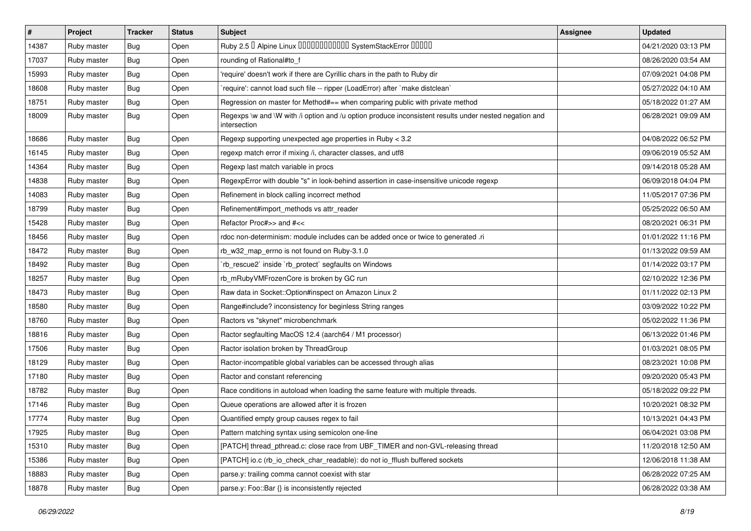| $\vert$ # | Project     | <b>Tracker</b> | <b>Status</b> | <b>Subject</b>                                                                                                        | <b>Assignee</b> | <b>Updated</b>      |
|-----------|-------------|----------------|---------------|-----------------------------------------------------------------------------------------------------------------------|-----------------|---------------------|
| 14387     | Ruby master | <b>Bug</b>     | Open          | Ruby 2.5 <sup>D</sup> Alpine Linux 000000000000 SystemStackError 00000                                                |                 | 04/21/2020 03:13 PM |
| 17037     | Ruby master | <b>Bug</b>     | Open          | rounding of Rational#to_f                                                                                             |                 | 08/26/2020 03:54 AM |
| 15993     | Ruby master | <b>Bug</b>     | Open          | 'require' doesn't work if there are Cyrillic chars in the path to Ruby dir                                            |                 | 07/09/2021 04:08 PM |
| 18608     | Ruby master | <b>Bug</b>     | Open          | 'require': cannot load such file -- ripper (LoadError) after 'make distclean'                                         |                 | 05/27/2022 04:10 AM |
| 18751     | Ruby master | <b>Bug</b>     | Open          | Regression on master for Method#== when comparing public with private method                                          |                 | 05/18/2022 01:27 AM |
| 18009     | Ruby master | <b>Bug</b>     | Open          | Regexps \w and \W with /i option and /u option produce inconsistent results under nested negation and<br>intersection |                 | 06/28/2021 09:09 AM |
| 18686     | Ruby master | <b>Bug</b>     | Open          | Regexp supporting unexpected age properties in Ruby < 3.2                                                             |                 | 04/08/2022 06:52 PM |
| 16145     | Ruby master | <b>Bug</b>     | Open          | regexp match error if mixing /i, character classes, and utf8                                                          |                 | 09/06/2019 05:52 AM |
| 14364     | Ruby master | <b>Bug</b>     | Open          | Regexp last match variable in procs                                                                                   |                 | 09/14/2018 05:28 AM |
| 14838     | Ruby master | <b>Bug</b>     | Open          | RegexpError with double "s" in look-behind assertion in case-insensitive unicode regexp                               |                 | 06/09/2018 04:04 PM |
| 14083     | Ruby master | <b>Bug</b>     | Open          | Refinement in block calling incorrect method                                                                          |                 | 11/05/2017 07:36 PM |
| 18799     | Ruby master | <b>Bug</b>     | Open          | Refinement#import_methods vs attr_reader                                                                              |                 | 05/25/2022 06:50 AM |
| 15428     | Ruby master | <b>Bug</b>     | Open          | Refactor Proc#>> and #<<                                                                                              |                 | 08/20/2021 06:31 PM |
| 18456     | Ruby master | <b>Bug</b>     | Open          | rdoc non-determinism: module includes can be added once or twice to generated .ri                                     |                 | 01/01/2022 11:16 PM |
| 18472     | Ruby master | <b>Bug</b>     | Open          | rb_w32_map_errno is not found on Ruby-3.1.0                                                                           |                 | 01/13/2022 09:59 AM |
| 18492     | Ruby master | <b>Bug</b>     | Open          | 'rb_rescue2' inside 'rb_protect' segfaults on Windows                                                                 |                 | 01/14/2022 03:17 PM |
| 18257     | Ruby master | Bug            | Open          | rb_mRubyVMFrozenCore is broken by GC run                                                                              |                 | 02/10/2022 12:36 PM |
| 18473     | Ruby master | <b>Bug</b>     | Open          | Raw data in Socket:: Option#inspect on Amazon Linux 2                                                                 |                 | 01/11/2022 02:13 PM |
| 18580     | Ruby master | <b>Bug</b>     | Open          | Range#include? inconsistency for beginless String ranges                                                              |                 | 03/09/2022 10:22 PM |
| 18760     | Ruby master | <b>Bug</b>     | Open          | Ractors vs "skynet" microbenchmark                                                                                    |                 | 05/02/2022 11:36 PM |
| 18816     | Ruby master | <b>Bug</b>     | Open          | Ractor segfaulting MacOS 12.4 (aarch64 / M1 processor)                                                                |                 | 06/13/2022 01:46 PM |
| 17506     | Ruby master | <b>Bug</b>     | Open          | Ractor isolation broken by ThreadGroup                                                                                |                 | 01/03/2021 08:05 PM |
| 18129     | Ruby master | <b>Bug</b>     | Open          | Ractor-incompatible global variables can be accessed through alias                                                    |                 | 08/23/2021 10:08 PM |
| 17180     | Ruby master | <b>Bug</b>     | Open          | Ractor and constant referencing                                                                                       |                 | 09/20/2020 05:43 PM |
| 18782     | Ruby master | <b>Bug</b>     | Open          | Race conditions in autoload when loading the same feature with multiple threads.                                      |                 | 05/18/2022 09:22 PM |
| 17146     | Ruby master | <b>Bug</b>     | Open          | Queue operations are allowed after it is frozen                                                                       |                 | 10/20/2021 08:32 PM |
| 17774     | Ruby master | <b>Bug</b>     | Open          | Quantified empty group causes regex to fail                                                                           |                 | 10/13/2021 04:43 PM |
| 17925     | Ruby master | <b>Bug</b>     | Open          | Pattern matching syntax using semicolon one-line                                                                      |                 | 06/04/2021 03:08 PM |
| 15310     | Ruby master | <b>Bug</b>     | Open          | [PATCH] thread_pthread.c: close race from UBF_TIMER and non-GVL-releasing thread                                      |                 | 11/20/2018 12:50 AM |
| 15386     | Ruby master | <b>Bug</b>     | Open          | [PATCH] io.c (rb_io_check_char_readable): do not io_fflush buffered sockets                                           |                 | 12/06/2018 11:38 AM |
| 18883     | Ruby master | <b>Bug</b>     | Open          | parse.y: trailing comma cannot coexist with star                                                                      |                 | 06/28/2022 07:25 AM |
| 18878     | Ruby master | <b>Bug</b>     | Open          | parse.y: Foo::Bar {} is inconsistently rejected                                                                       |                 | 06/28/2022 03:38 AM |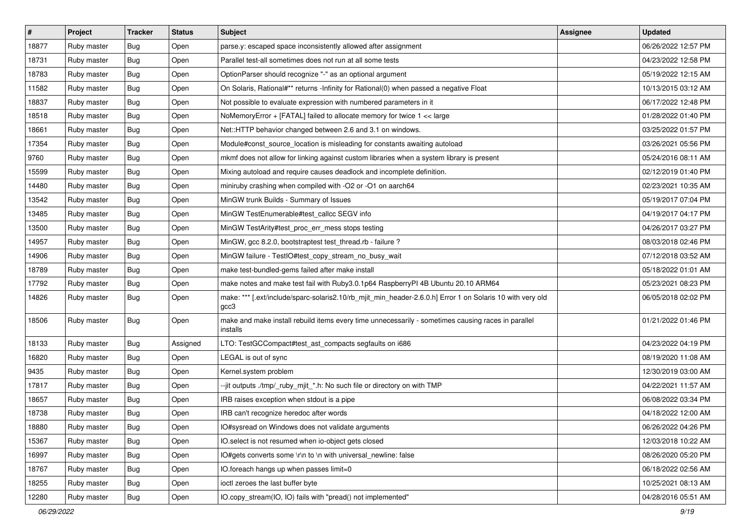| #     | Project     | <b>Tracker</b> | <b>Status</b> | Subject                                                                                                           | <b>Assignee</b> | <b>Updated</b>      |
|-------|-------------|----------------|---------------|-------------------------------------------------------------------------------------------------------------------|-----------------|---------------------|
| 18877 | Ruby master | Bug            | Open          | parse.y: escaped space inconsistently allowed after assignment                                                    |                 | 06/26/2022 12:57 PM |
| 18731 | Ruby master | Bug            | Open          | Parallel test-all sometimes does not run at all some tests                                                        |                 | 04/23/2022 12:58 PM |
| 18783 | Ruby master | Bug            | Open          | OptionParser should recognize "-" as an optional argument                                                         |                 | 05/19/2022 12:15 AM |
| 11582 | Ruby master | Bug            | Open          | On Solaris, Rational#** returns -Infinity for Rational(0) when passed a negative Float                            |                 | 10/13/2015 03:12 AM |
| 18837 | Ruby master | Bug            | Open          | Not possible to evaluate expression with numbered parameters in it                                                |                 | 06/17/2022 12:48 PM |
| 18518 | Ruby master | Bug            | Open          | NoMemoryError + [FATAL] failed to allocate memory for twice 1 << large                                            |                 | 01/28/2022 01:40 PM |
| 18661 | Ruby master | Bug            | Open          | Net::HTTP behavior changed between 2.6 and 3.1 on windows.                                                        |                 | 03/25/2022 01:57 PM |
| 17354 | Ruby master | Bug            | Open          | Module#const_source_location is misleading for constants awaiting autoload                                        |                 | 03/26/2021 05:56 PM |
| 9760  | Ruby master | Bug            | Open          | mkmf does not allow for linking against custom libraries when a system library is present                         |                 | 05/24/2016 08:11 AM |
| 15599 | Ruby master | Bug            | Open          | Mixing autoload and require causes deadlock and incomplete definition.                                            |                 | 02/12/2019 01:40 PM |
| 14480 | Ruby master | Bug            | Open          | miniruby crashing when compiled with -O2 or -O1 on aarch64                                                        |                 | 02/23/2021 10:35 AM |
| 13542 | Ruby master | Bug            | Open          | MinGW trunk Builds - Summary of Issues                                                                            |                 | 05/19/2017 07:04 PM |
| 13485 | Ruby master | Bug            | Open          | MinGW TestEnumerable#test_callcc SEGV info                                                                        |                 | 04/19/2017 04:17 PM |
| 13500 | Ruby master | Bug            | Open          | MinGW TestArity#test_proc_err_mess stops testing                                                                  |                 | 04/26/2017 03:27 PM |
| 14957 | Ruby master | Bug            | Open          | MinGW, gcc 8.2.0, bootstraptest test_thread.rb - failure ?                                                        |                 | 08/03/2018 02:46 PM |
| 14906 | Ruby master | Bug            | Open          | MinGW failure - TestIO#test_copy_stream_no_busy_wait                                                              |                 | 07/12/2018 03:52 AM |
| 18789 | Ruby master | Bug            | Open          | make test-bundled-gems failed after make install                                                                  |                 | 05/18/2022 01:01 AM |
| 17792 | Ruby master | Bug            | Open          | make notes and make test fail with Ruby3.0.1p64 RaspberryPI 4B Ubuntu 20.10 ARM64                                 |                 | 05/23/2021 08:23 PM |
| 14826 | Ruby master | Bug            | Open          | make: *** [.ext/include/sparc-solaris2.10/rb_mjit_min_header-2.6.0.h] Error 1 on Solaris 10 with very old<br>gcc3 |                 | 06/05/2018 02:02 PM |
| 18506 | Ruby master | Bug            | Open          | make and make install rebuild items every time unnecessarily - sometimes causing races in parallel<br>installs    |                 | 01/21/2022 01:46 PM |
| 18133 | Ruby master | Bug            | Assigned      | LTO: TestGCCompact#test_ast_compacts segfaults on i686                                                            |                 | 04/23/2022 04:19 PM |
| 16820 | Ruby master | Bug            | Open          | LEGAL is out of sync                                                                                              |                 | 08/19/2020 11:08 AM |
| 9435  | Ruby master | Bug            | Open          | Kernel.system problem                                                                                             |                 | 12/30/2019 03:00 AM |
| 17817 | Ruby master | Bug            | Open          | --jit outputs ./tmp/_ruby_mjit_*.h: No such file or directory on with TMP                                         |                 | 04/22/2021 11:57 AM |
| 18657 | Ruby master | Bug            | Open          | IRB raises exception when stdout is a pipe                                                                        |                 | 06/08/2022 03:34 PM |
| 18738 | Ruby master | <b>Bug</b>     | Open          | IRB can't recognize heredoc after words                                                                           |                 | 04/18/2022 12:00 AM |
| 18880 | Ruby master | Bug            | Open          | IO#sysread on Windows does not validate arguments                                                                 |                 | 06/26/2022 04:26 PM |
| 15367 | Ruby master | Bug            | Open          | IO.select is not resumed when io-object gets closed                                                               |                 | 12/03/2018 10:22 AM |
| 16997 | Ruby master | <b>Bug</b>     | Open          | IO#gets converts some \r\n to \n with universal_newline: false                                                    |                 | 08/26/2020 05:20 PM |
| 18767 | Ruby master | <b>Bug</b>     | Open          | IO.foreach hangs up when passes limit=0                                                                           |                 | 06/18/2022 02:56 AM |
| 18255 | Ruby master | <b>Bug</b>     | Open          | ioctl zeroes the last buffer byte                                                                                 |                 | 10/25/2021 08:13 AM |
| 12280 | Ruby master | <b>Bug</b>     | Open          | IO.copy_stream(IO, IO) fails with "pread() not implemented"                                                       |                 | 04/28/2016 05:51 AM |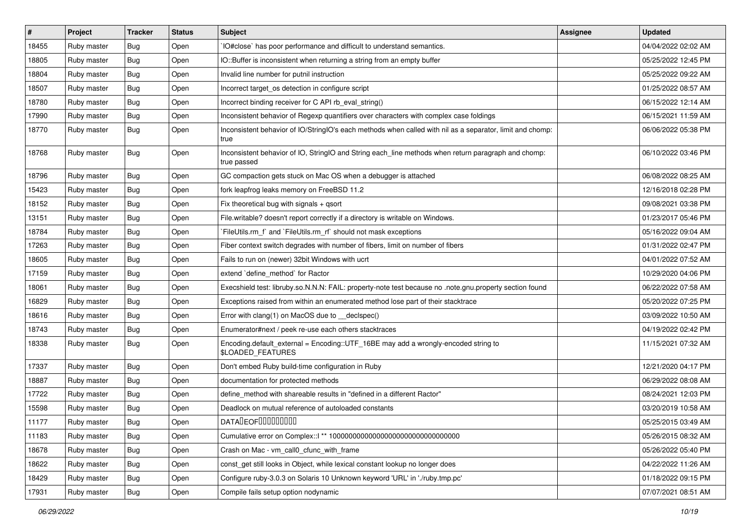| #     | Project     | <b>Tracker</b> | <b>Status</b> | <b>Subject</b>                                                                                                     | Assignee | <b>Updated</b>      |
|-------|-------------|----------------|---------------|--------------------------------------------------------------------------------------------------------------------|----------|---------------------|
| 18455 | Ruby master | Bug            | Open          | IO#close` has poor performance and difficult to understand semantics.                                              |          | 04/04/2022 02:02 AM |
| 18805 | Ruby master | Bug            | Open          | IO::Buffer is inconsistent when returning a string from an empty buffer                                            |          | 05/25/2022 12:45 PM |
| 18804 | Ruby master | Bug            | Open          | Invalid line number for putnil instruction                                                                         |          | 05/25/2022 09:22 AM |
| 18507 | Ruby master | Bug            | Open          | Incorrect target_os detection in configure script                                                                  |          | 01/25/2022 08:57 AM |
| 18780 | Ruby master | Bug            | Open          | Incorrect binding receiver for C API rb_eval_string()                                                              |          | 06/15/2022 12:14 AM |
| 17990 | Ruby master | Bug            | Open          | Inconsistent behavior of Regexp quantifiers over characters with complex case foldings                             |          | 06/15/2021 11:59 AM |
| 18770 | Ruby master | Bug            | Open          | Inconsistent behavior of IO/StringIO's each methods when called with nil as a separator, limit and chomp:<br>true  |          | 06/06/2022 05:38 PM |
| 18768 | Ruby master | Bug            | Open          | Inconsistent behavior of IO, StringIO and String each_line methods when return paragraph and chomp:<br>true passed |          | 06/10/2022 03:46 PM |
| 18796 | Ruby master | Bug            | Open          | GC compaction gets stuck on Mac OS when a debugger is attached                                                     |          | 06/08/2022 08:25 AM |
| 15423 | Ruby master | Bug            | Open          | fork leapfrog leaks memory on FreeBSD 11.2                                                                         |          | 12/16/2018 02:28 PM |
| 18152 | Ruby master | Bug            | Open          | Fix theoretical bug with signals + qsort                                                                           |          | 09/08/2021 03:38 PM |
| 13151 | Ruby master | Bug            | Open          | File writable? doesn't report correctly if a directory is writable on Windows.                                     |          | 01/23/2017 05:46 PM |
| 18784 | Ruby master | Bug            | Open          | `FileUtils.rm_f` and `FileUtils.rm_rf` should not mask exceptions                                                  |          | 05/16/2022 09:04 AM |
| 17263 | Ruby master | Bug            | Open          | Fiber context switch degrades with number of fibers, limit on number of fibers                                     |          | 01/31/2022 02:47 PM |
| 18605 | Ruby master | Bug            | Open          | Fails to run on (newer) 32bit Windows with ucrt                                                                    |          | 04/01/2022 07:52 AM |
| 17159 | Ruby master | Bug            | Open          | extend `define method` for Ractor                                                                                  |          | 10/29/2020 04:06 PM |
| 18061 | Ruby master | Bug            | Open          | Execshield test: libruby.so.N.N.N: FAIL: property-note test because no .note.gnu.property section found            |          | 06/22/2022 07:58 AM |
| 16829 | Ruby master | Bug            | Open          | Exceptions raised from within an enumerated method lose part of their stacktrace                                   |          | 05/20/2022 07:25 PM |
| 18616 | Ruby master | Bug            | Open          | Error with clang(1) on MacOS due to __declspec()                                                                   |          | 03/09/2022 10:50 AM |
| 18743 | Ruby master | Bug            | Open          | Enumerator#next / peek re-use each others stacktraces                                                              |          | 04/19/2022 02:42 PM |
| 18338 | Ruby master | Bug            | Open          | Encoding.default_external = Encoding::UTF_16BE may add a wrongly-encoded string to<br>\$LOADED_FEATURES            |          | 11/15/2021 07:32 AM |
| 17337 | Ruby master | Bug            | Open          | Don't embed Ruby build-time configuration in Ruby                                                                  |          | 12/21/2020 04:17 PM |
| 18887 | Ruby master | Bug            | Open          | documentation for protected methods                                                                                |          | 06/29/2022 08:08 AM |
| 17722 | Ruby master | Bug            | Open          | define_method with shareable results in "defined in a different Ractor"                                            |          | 08/24/2021 12:03 PM |
| 15598 | Ruby master | Bug            | Open          | Deadlock on mutual reference of autoloaded constants                                                               |          | 03/20/2019 10:58 AM |
| 11177 | Ruby master | Bug            | Open          | DATADEOF00000000                                                                                                   |          | 05/25/2015 03:49 AM |
| 11183 | Ruby master | <b>Bug</b>     | Open          |                                                                                                                    |          | 05/26/2015 08:32 AM |
| 18678 | Ruby master | Bug            | Open          | Crash on Mac - vm_call0_cfunc_with_frame                                                                           |          | 05/26/2022 05:40 PM |
| 18622 | Ruby master | <b>Bug</b>     | Open          | const_get still looks in Object, while lexical constant lookup no longer does                                      |          | 04/22/2022 11:26 AM |
| 18429 | Ruby master | Bug            | Open          | Configure ruby-3.0.3 on Solaris 10 Unknown keyword 'URL' in './ruby.tmp.pc'                                        |          | 01/18/2022 09:15 PM |
| 17931 | Ruby master | <b>Bug</b>     | Open          | Compile fails setup option nodynamic                                                                               |          | 07/07/2021 08:51 AM |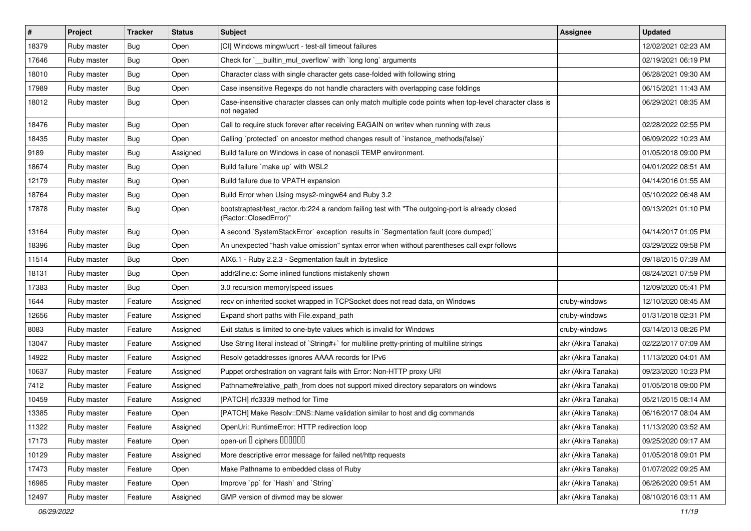| $\sharp$ | Project     | <b>Tracker</b> | <b>Status</b> | Subject                                                                                                                    | <b>Assignee</b>    | <b>Updated</b>      |
|----------|-------------|----------------|---------------|----------------------------------------------------------------------------------------------------------------------------|--------------------|---------------------|
| 18379    | Ruby master | Bug            | Open          | [CI] Windows mingw/ucrt - test-all timeout failures                                                                        |                    | 12/02/2021 02:23 AM |
| 17646    | Ruby master | Bug            | Open          | Check for `_builtin_mul_overflow` with `long long` arguments                                                               |                    | 02/19/2021 06:19 PM |
| 18010    | Ruby master | Bug            | Open          | Character class with single character gets case-folded with following string                                               |                    | 06/28/2021 09:30 AM |
| 17989    | Ruby master | Bug            | Open          | Case insensitive Regexps do not handle characters with overlapping case foldings                                           |                    | 06/15/2021 11:43 AM |
| 18012    | Ruby master | Bug            | Open          | Case-insensitive character classes can only match multiple code points when top-level character class is<br>not negated    |                    | 06/29/2021 08:35 AM |
| 18476    | Ruby master | Bug            | Open          | Call to require stuck forever after receiving EAGAIN on writev when running with zeus                                      |                    | 02/28/2022 02:55 PM |
| 18435    | Ruby master | Bug            | Open          | Calling `protected` on ancestor method changes result of `instance_methods(false)`                                         |                    | 06/09/2022 10:23 AM |
| 9189     | Ruby master | Bug            | Assigned      | Build failure on Windows in case of nonascii TEMP environment.                                                             |                    | 01/05/2018 09:00 PM |
| 18674    | Ruby master | Bug            | Open          | Build failure `make up` with WSL2                                                                                          |                    | 04/01/2022 08:51 AM |
| 12179    | Ruby master | Bug            | Open          | Build failure due to VPATH expansion                                                                                       |                    | 04/14/2016 01:55 AM |
| 18764    | Ruby master | Bug            | Open          | Build Error when Using msys2-mingw64 and Ruby 3.2                                                                          |                    | 05/10/2022 06:48 AM |
| 17878    | Ruby master | Bug            | Open          | bootstraptest/test_ractor.rb:224 a random failing test with "The outgoing-port is already closed<br>(Ractor::ClosedError)" |                    | 09/13/2021 01:10 PM |
| 13164    | Ruby master | Bug            | Open          | A second `SystemStackError` exception results in `Segmentation fault (core dumped)`                                        |                    | 04/14/2017 01:05 PM |
| 18396    | Ruby master | Bug            | Open          | An unexpected "hash value omission" syntax error when without parentheses call expr follows                                |                    | 03/29/2022 09:58 PM |
| 11514    | Ruby master | Bug            | Open          | AIX6.1 - Ruby 2.2.3 - Segmentation fault in :byteslice                                                                     |                    | 09/18/2015 07:39 AM |
| 18131    | Ruby master | Bug            | Open          | addr2line.c: Some inlined functions mistakenly shown                                                                       |                    | 08/24/2021 07:59 PM |
| 17383    | Ruby master | Bug            | Open          | 3.0 recursion memory speed issues                                                                                          |                    | 12/09/2020 05:41 PM |
| 1644     | Ruby master | Feature        | Assigned      | recv on inherited socket wrapped in TCPSocket does not read data, on Windows                                               | cruby-windows      | 12/10/2020 08:45 AM |
| 12656    | Ruby master | Feature        | Assigned      | Expand short paths with File.expand_path                                                                                   | cruby-windows      | 01/31/2018 02:31 PM |
| 8083     | Ruby master | Feature        | Assigned      | Exit status is limited to one-byte values which is invalid for Windows                                                     | cruby-windows      | 03/14/2013 08:26 PM |
| 13047    | Ruby master | Feature        | Assigned      | Use String literal instead of `String#+` for multiline pretty-printing of multiline strings                                | akr (Akira Tanaka) | 02/22/2017 07:09 AM |
| 14922    | Ruby master | Feature        | Assigned      | Resolv getaddresses ignores AAAA records for IPv6                                                                          | akr (Akira Tanaka) | 11/13/2020 04:01 AM |
| 10637    | Ruby master | Feature        | Assigned      | Puppet orchestration on vagrant fails with Error: Non-HTTP proxy URI                                                       | akr (Akira Tanaka) | 09/23/2020 10:23 PM |
| 7412     | Ruby master | Feature        | Assigned      | Pathname#relative_path_from does not support mixed directory separators on windows                                         | akr (Akira Tanaka) | 01/05/2018 09:00 PM |
| 10459    | Ruby master | Feature        | Assigned      | [PATCH] rfc3339 method for Time                                                                                            | akr (Akira Tanaka) | 05/21/2015 08:14 AM |
| 13385    | Ruby master | Feature        | Open          | [PATCH] Make Resolv::DNS::Name validation similar to host and dig commands                                                 | akr (Akira Tanaka) | 06/16/2017 08:04 AM |
| 11322    | Ruby master | Feature        | Assigned      | OpenUri: RuntimeError: HTTP redirection loop                                                                               | akr (Akira Tanaka) | 11/13/2020 03:52 AM |
| 17173    | Ruby master | Feature        | Open          | open-uri I ciphers IIIIIII                                                                                                 | akr (Akira Tanaka) | 09/25/2020 09:17 AM |
| 10129    | Ruby master | Feature        | Assigned      | More descriptive error message for failed net/http requests                                                                | akr (Akira Tanaka) | 01/05/2018 09:01 PM |
| 17473    | Ruby master | Feature        | Open          | Make Pathname to embedded class of Ruby                                                                                    | akr (Akira Tanaka) | 01/07/2022 09:25 AM |
| 16985    | Ruby master | Feature        | Open          | Improve `pp` for `Hash` and `String`                                                                                       | akr (Akira Tanaka) | 06/26/2020 09:51 AM |
| 12497    | Ruby master | Feature        | Assigned      | GMP version of divmod may be slower                                                                                        | akr (Akira Tanaka) | 08/10/2016 03:11 AM |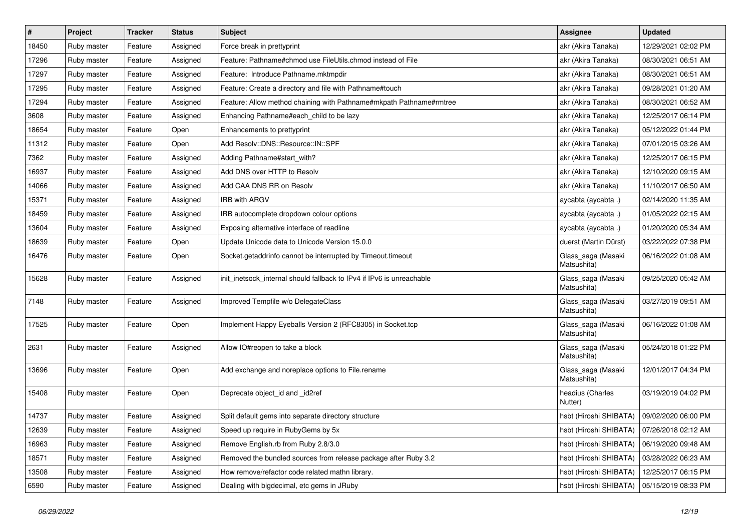| $\pmb{\#}$ | Project     | <b>Tracker</b> | <b>Status</b> | <b>Subject</b>                                                        | Assignee                          | <b>Updated</b>      |
|------------|-------------|----------------|---------------|-----------------------------------------------------------------------|-----------------------------------|---------------------|
| 18450      | Ruby master | Feature        | Assigned      | Force break in prettyprint                                            | akr (Akira Tanaka)                | 12/29/2021 02:02 PM |
| 17296      | Ruby master | Feature        | Assigned      | Feature: Pathname#chmod use FileUtils.chmod instead of File           | akr (Akira Tanaka)                | 08/30/2021 06:51 AM |
| 17297      | Ruby master | Feature        | Assigned      | Feature: Introduce Pathname.mktmpdir                                  | akr (Akira Tanaka)                | 08/30/2021 06:51 AM |
| 17295      | Ruby master | Feature        | Assigned      | Feature: Create a directory and file with Pathname#touch              | akr (Akira Tanaka)                | 09/28/2021 01:20 AM |
| 17294      | Ruby master | Feature        | Assigned      | Feature: Allow method chaining with Pathname#mkpath Pathname#rmtree   | akr (Akira Tanaka)                | 08/30/2021 06:52 AM |
| 3608       | Ruby master | Feature        | Assigned      | Enhancing Pathname#each_child to be lazy                              | akr (Akira Tanaka)                | 12/25/2017 06:14 PM |
| 18654      | Ruby master | Feature        | Open          | Enhancements to prettyprint                                           | akr (Akira Tanaka)                | 05/12/2022 01:44 PM |
| 11312      | Ruby master | Feature        | Open          | Add Resolv::DNS::Resource::IN::SPF                                    | akr (Akira Tanaka)                | 07/01/2015 03:26 AM |
| 7362       | Ruby master | Feature        | Assigned      | Adding Pathname#start with?                                           | akr (Akira Tanaka)                | 12/25/2017 06:15 PM |
| 16937      | Ruby master | Feature        | Assigned      | Add DNS over HTTP to Resolv                                           | akr (Akira Tanaka)                | 12/10/2020 09:15 AM |
| 14066      | Ruby master | Feature        | Assigned      | Add CAA DNS RR on Resolv                                              | akr (Akira Tanaka)                | 11/10/2017 06:50 AM |
| 15371      | Ruby master | Feature        | Assigned      | <b>IRB with ARGV</b>                                                  | aycabta (aycabta .)               | 02/14/2020 11:35 AM |
| 18459      | Ruby master | Feature        | Assigned      | IRB autocomplete dropdown colour options                              | aycabta (aycabta .)               | 01/05/2022 02:15 AM |
| 13604      | Ruby master | Feature        | Assigned      | Exposing alternative interface of readline                            | aycabta (aycabta .)               | 01/20/2020 05:34 AM |
| 18639      | Ruby master | Feature        | Open          | Update Unicode data to Unicode Version 15.0.0                         | duerst (Martin Dürst)             | 03/22/2022 07:38 PM |
| 16476      | Ruby master | Feature        | Open          | Socket.getaddrinfo cannot be interrupted by Timeout.timeout           | Glass_saga (Masaki<br>Matsushita) | 06/16/2022 01:08 AM |
| 15628      | Ruby master | Feature        | Assigned      | init inetsock internal should fallback to IPv4 if IPv6 is unreachable | Glass_saga (Masaki<br>Matsushita) | 09/25/2020 05:42 AM |
| 7148       | Ruby master | Feature        | Assigned      | Improved Tempfile w/o DelegateClass                                   | Glass_saga (Masaki<br>Matsushita) | 03/27/2019 09:51 AM |
| 17525      | Ruby master | Feature        | Open          | Implement Happy Eyeballs Version 2 (RFC8305) in Socket.tcp            | Glass_saga (Masaki<br>Matsushita) | 06/16/2022 01:08 AM |
| 2631       | Ruby master | Feature        | Assigned      | Allow IO#reopen to take a block                                       | Glass_saga (Masaki<br>Matsushita) | 05/24/2018 01:22 PM |
| 13696      | Ruby master | Feature        | Open          | Add exchange and noreplace options to File.rename                     | Glass_saga (Masaki<br>Matsushita) | 12/01/2017 04:34 PM |
| 15408      | Ruby master | Feature        | Open          | Deprecate object_id and _id2ref                                       | headius (Charles<br>Nutter)       | 03/19/2019 04:02 PM |
| 14737      | Ruby master | Feature        | Assigned      | Split default gems into separate directory structure                  | hsbt (Hiroshi SHIBATA)            | 09/02/2020 06:00 PM |
| 12639      | Ruby master | Feature        | Assigned      | Speed up require in RubyGems by 5x                                    | hsbt (Hiroshi SHIBATA)            | 07/26/2018 02:12 AM |
| 16963      | Ruby master | Feature        | Assigned      | Remove English.rb from Ruby 2.8/3.0                                   | hsbt (Hiroshi SHIBATA)            | 06/19/2020 09:48 AM |
| 18571      | Ruby master | Feature        | Assigned      | Removed the bundled sources from release package after Ruby 3.2       | hsbt (Hiroshi SHIBATA)            | 03/28/2022 06:23 AM |
| 13508      | Ruby master | Feature        | Assigned      | How remove/refactor code related mathn library.                       | hsbt (Hiroshi SHIBATA)            | 12/25/2017 06:15 PM |
| 6590       | Ruby master | Feature        | Assigned      | Dealing with bigdecimal, etc gems in JRuby                            | hsbt (Hiroshi SHIBATA)            | 05/15/2019 08:33 PM |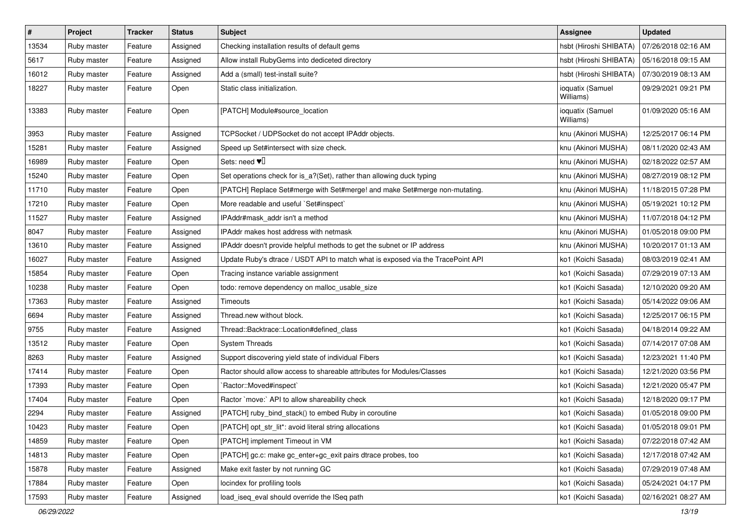| $\vert$ # | Project     | <b>Tracker</b> | <b>Status</b> | <b>Subject</b>                                                                  | Assignee                      | <b>Updated</b>      |
|-----------|-------------|----------------|---------------|---------------------------------------------------------------------------------|-------------------------------|---------------------|
| 13534     | Ruby master | Feature        | Assigned      | Checking installation results of default gems                                   | hsbt (Hiroshi SHIBATA)        | 07/26/2018 02:16 AM |
| 5617      | Ruby master | Feature        | Assigned      | Allow install RubyGems into dediceted directory                                 | hsbt (Hiroshi SHIBATA)        | 05/16/2018 09:15 AM |
| 16012     | Ruby master | Feature        | Assigned      | Add a (small) test-install suite?                                               | hsbt (Hiroshi SHIBATA)        | 07/30/2019 08:13 AM |
| 18227     | Ruby master | Feature        | Open          | Static class initialization.                                                    | ioquatix (Samuel<br>Williams) | 09/29/2021 09:21 PM |
| 13383     | Ruby master | Feature        | Open          | [PATCH] Module#source_location                                                  | ioquatix (Samuel<br>Williams) | 01/09/2020 05:16 AM |
| 3953      | Ruby master | Feature        | Assigned      | TCPSocket / UDPSocket do not accept IPAddr objects.                             | knu (Akinori MUSHA)           | 12/25/2017 06:14 PM |
| 15281     | Ruby master | Feature        | Assigned      | Speed up Set#intersect with size check.                                         | knu (Akinori MUSHA)           | 08/11/2020 02:43 AM |
| 16989     | Ruby master | Feature        | Open          | Sets: need $\Psi$ <sup>[]</sup>                                                 | knu (Akinori MUSHA)           | 02/18/2022 02:57 AM |
| 15240     | Ruby master | Feature        | Open          | Set operations check for is_a?(Set), rather than allowing duck typing           | knu (Akinori MUSHA)           | 08/27/2019 08:12 PM |
| 11710     | Ruby master | Feature        | Open          | [PATCH] Replace Set#merge with Set#merge! and make Set#merge non-mutating.      | knu (Akinori MUSHA)           | 11/18/2015 07:28 PM |
| 17210     | Ruby master | Feature        | Open          | More readable and useful `Set#inspect`                                          | knu (Akinori MUSHA)           | 05/19/2021 10:12 PM |
| 11527     | Ruby master | Feature        | Assigned      | IPAddr#mask_addr isn't a method                                                 | knu (Akinori MUSHA)           | 11/07/2018 04:12 PM |
| 8047      | Ruby master | Feature        | Assigned      | IPAddr makes host address with netmask                                          | knu (Akinori MUSHA)           | 01/05/2018 09:00 PM |
| 13610     | Ruby master | Feature        | Assigned      | IPAddr doesn't provide helpful methods to get the subnet or IP address          | knu (Akinori MUSHA)           | 10/20/2017 01:13 AM |
| 16027     | Ruby master | Feature        | Assigned      | Update Ruby's dtrace / USDT API to match what is exposed via the TracePoint API | ko1 (Koichi Sasada)           | 08/03/2019 02:41 AM |
| 15854     | Ruby master | Feature        | Open          | Tracing instance variable assignment                                            | ko1 (Koichi Sasada)           | 07/29/2019 07:13 AM |
| 10238     | Ruby master | Feature        | Open          | todo: remove dependency on malloc_usable_size                                   | ko1 (Koichi Sasada)           | 12/10/2020 09:20 AM |
| 17363     | Ruby master | Feature        | Assigned      | Timeouts                                                                        | ko1 (Koichi Sasada)           | 05/14/2022 09:06 AM |
| 6694      | Ruby master | Feature        | Assigned      | Thread.new without block.                                                       | ko1 (Koichi Sasada)           | 12/25/2017 06:15 PM |
| 9755      | Ruby master | Feature        | Assigned      | Thread::Backtrace::Location#defined_class                                       | ko1 (Koichi Sasada)           | 04/18/2014 09:22 AM |
| 13512     | Ruby master | Feature        | Open          | <b>System Threads</b>                                                           | ko1 (Koichi Sasada)           | 07/14/2017 07:08 AM |
| 8263      | Ruby master | Feature        | Assigned      | Support discovering yield state of individual Fibers                            | ko1 (Koichi Sasada)           | 12/23/2021 11:40 PM |
| 17414     | Ruby master | Feature        | Open          | Ractor should allow access to shareable attributes for Modules/Classes          | ko1 (Koichi Sasada)           | 12/21/2020 03:56 PM |
| 17393     | Ruby master | Feature        | Open          | Ractor::Moved#inspect`                                                          | ko1 (Koichi Sasada)           | 12/21/2020 05:47 PM |
| 17404     | Ruby master | Feature        | Open          | Ractor `move:` API to allow shareability check                                  | ko1 (Koichi Sasada)           | 12/18/2020 09:17 PM |
| 2294      | Ruby master | Feature        | Assigned      | [PATCH] ruby_bind_stack() to embed Ruby in coroutine                            | ko1 (Koichi Sasada)           | 01/05/2018 09:00 PM |
| 10423     | Ruby master | Feature        | Open          | [PATCH] opt_str_lit*: avoid literal string allocations                          | ko1 (Koichi Sasada)           | 01/05/2018 09:01 PM |
| 14859     | Ruby master | Feature        | Open          | [PATCH] implement Timeout in VM                                                 | ko1 (Koichi Sasada)           | 07/22/2018 07:42 AM |
| 14813     | Ruby master | Feature        | Open          | [PATCH] gc.c: make gc_enter+gc_exit pairs dtrace probes, too                    | ko1 (Koichi Sasada)           | 12/17/2018 07:42 AM |
| 15878     | Ruby master | Feature        | Assigned      | Make exit faster by not running GC                                              | ko1 (Koichi Sasada)           | 07/29/2019 07:48 AM |
| 17884     | Ruby master | Feature        | Open          | locindex for profiling tools                                                    | ko1 (Koichi Sasada)           | 05/24/2021 04:17 PM |
| 17593     | Ruby master | Feature        | Assigned      | load_iseq_eval should override the ISeq path                                    | ko1 (Koichi Sasada)           | 02/16/2021 08:27 AM |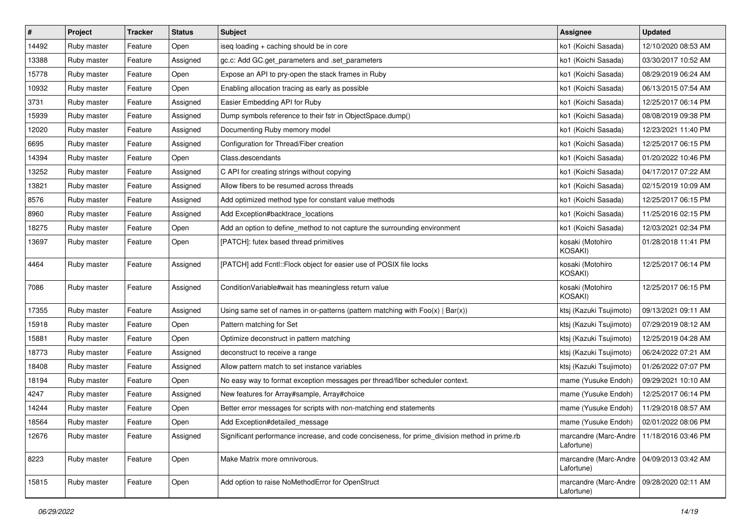| $\pmb{\#}$ | Project     | <b>Tracker</b> | <b>Status</b> | <b>Subject</b>                                                                                | Assignee                                                  | <b>Updated</b>      |
|------------|-------------|----------------|---------------|-----------------------------------------------------------------------------------------------|-----------------------------------------------------------|---------------------|
| 14492      | Ruby master | Feature        | Open          | iseq loading + caching should be in core                                                      | ko1 (Koichi Sasada)                                       | 12/10/2020 08:53 AM |
| 13388      | Ruby master | Feature        | Assigned      | gc.c: Add GC.get_parameters and .set_parameters                                               | ko1 (Koichi Sasada)                                       | 03/30/2017 10:52 AM |
| 15778      | Ruby master | Feature        | Open          | Expose an API to pry-open the stack frames in Ruby                                            | ko1 (Koichi Sasada)                                       | 08/29/2019 06:24 AM |
| 10932      | Ruby master | Feature        | Open          | Enabling allocation tracing as early as possible                                              | ko1 (Koichi Sasada)                                       | 06/13/2015 07:54 AM |
| 3731       | Ruby master | Feature        | Assigned      | Easier Embedding API for Ruby                                                                 | ko1 (Koichi Sasada)                                       | 12/25/2017 06:14 PM |
| 15939      | Ruby master | Feature        | Assigned      | Dump symbols reference to their fstr in ObjectSpace.dump()                                    | ko1 (Koichi Sasada)                                       | 08/08/2019 09:38 PM |
| 12020      | Ruby master | Feature        | Assigned      | Documenting Ruby memory model                                                                 | ko1 (Koichi Sasada)                                       | 12/23/2021 11:40 PM |
| 6695       | Ruby master | Feature        | Assigned      | Configuration for Thread/Fiber creation                                                       | ko1 (Koichi Sasada)                                       | 12/25/2017 06:15 PM |
| 14394      | Ruby master | Feature        | Open          | Class.descendants                                                                             | ko1 (Koichi Sasada)                                       | 01/20/2022 10:46 PM |
| 13252      | Ruby master | Feature        | Assigned      | C API for creating strings without copying                                                    | ko1 (Koichi Sasada)                                       | 04/17/2017 07:22 AM |
| 13821      | Ruby master | Feature        | Assigned      | Allow fibers to be resumed across threads                                                     | ko1 (Koichi Sasada)                                       | 02/15/2019 10:09 AM |
| 8576       | Ruby master | Feature        | Assigned      | Add optimized method type for constant value methods                                          | ko1 (Koichi Sasada)                                       | 12/25/2017 06:15 PM |
| 8960       | Ruby master | Feature        | Assigned      | Add Exception#backtrace_locations                                                             | ko1 (Koichi Sasada)                                       | 11/25/2016 02:15 PM |
| 18275      | Ruby master | Feature        | Open          | Add an option to define_method to not capture the surrounding environment                     | ko1 (Koichi Sasada)                                       | 12/03/2021 02:34 PM |
| 13697      | Ruby master | Feature        | Open          | [PATCH]: futex based thread primitives                                                        | kosaki (Motohiro<br><b>KOSAKI)</b>                        | 01/28/2018 11:41 PM |
| 4464       | Ruby master | Feature        | Assigned      | [PATCH] add Fcntl::Flock object for easier use of POSIX file locks                            | kosaki (Motohiro<br>KOSAKI)                               | 12/25/2017 06:14 PM |
| 7086       | Ruby master | Feature        | Assigned      | Condition Variable#wait has meaningless return value                                          | kosaki (Motohiro<br>KOSAKI)                               | 12/25/2017 06:15 PM |
| 17355      | Ruby master | Feature        | Assigned      | Using same set of names in or-patterns (pattern matching with $Foo(x)   Bar(x)$ )             | ktsj (Kazuki Tsujimoto)                                   | 09/13/2021 09:11 AM |
| 15918      | Ruby master | Feature        | Open          | Pattern matching for Set                                                                      | ktsj (Kazuki Tsujimoto)                                   | 07/29/2019 08:12 AM |
| 15881      | Ruby master | Feature        | Open          | Optimize deconstruct in pattern matching                                                      | ktsj (Kazuki Tsujimoto)                                   | 12/25/2019 04:28 AM |
| 18773      | Ruby master | Feature        | Assigned      | deconstruct to receive a range                                                                | ktsj (Kazuki Tsujimoto)                                   | 06/24/2022 07:21 AM |
| 18408      | Ruby master | Feature        | Assigned      | Allow pattern match to set instance variables                                                 | ktsj (Kazuki Tsujimoto)                                   | 01/26/2022 07:07 PM |
| 18194      | Ruby master | Feature        | Open          | No easy way to format exception messages per thread/fiber scheduler context.                  | mame (Yusuke Endoh)                                       | 09/29/2021 10:10 AM |
| 4247       | Ruby master | Feature        | Assigned      | New features for Array#sample, Array#choice                                                   | mame (Yusuke Endoh)                                       | 12/25/2017 06:14 PM |
| 14244      | Ruby master | Feature        | Open          | Better error messages for scripts with non-matching end statements                            | mame (Yusuke Endoh)                                       | 11/29/2018 08:57 AM |
| 18564      | Ruby master | Feature        | Open          | Add Exception#detailed_message                                                                | mame (Yusuke Endoh)   02/01/2022 08:06 PM                 |                     |
| 12676      | Ruby master | Feature        | Assigned      | Significant performance increase, and code conciseness, for prime division method in prime.rb | marcandre (Marc-Andre   11/18/2016 03:46 PM<br>Lafortune) |                     |
| 8223       | Ruby master | Feature        | Open          | Make Matrix more omnivorous.                                                                  | marcandre (Marc-Andre<br>Lafortune)                       | 04/09/2013 03:42 AM |
| 15815      | Ruby master | Feature        | Open          | Add option to raise NoMethodError for OpenStruct                                              | marcandre (Marc-Andre<br>Lafortune)                       | 09/28/2020 02:11 AM |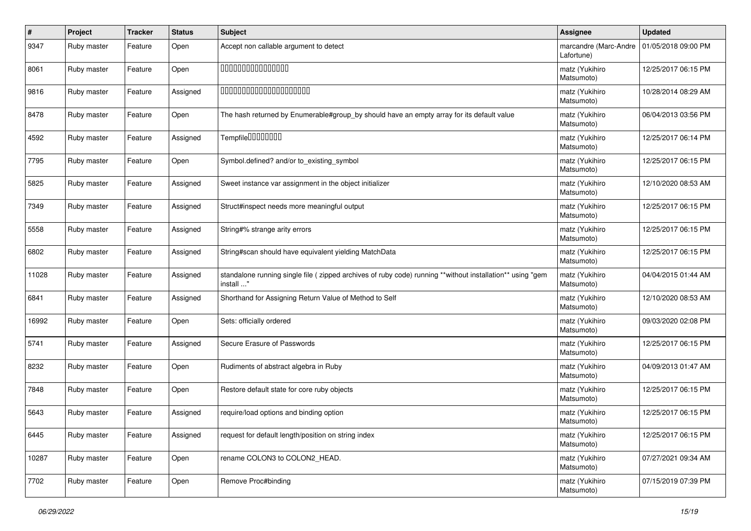| #     | Project     | <b>Tracker</b> | <b>Status</b> | <b>Subject</b>                                                                                                          | <b>Assignee</b>                     | <b>Updated</b>      |
|-------|-------------|----------------|---------------|-------------------------------------------------------------------------------------------------------------------------|-------------------------------------|---------------------|
| 9347  | Ruby master | Feature        | Open          | Accept non callable argument to detect                                                                                  | marcandre (Marc-Andre<br>Lafortune) | 01/05/2018 09:00 PM |
| 8061  | Ruby master | Feature        | Open          | 000000000000000                                                                                                         | matz (Yukihiro<br>Matsumoto)        | 12/25/2017 06:15 PM |
| 9816  | Ruby master | Feature        | Assigned      | 00000000000000000000                                                                                                    | matz (Yukihiro<br>Matsumoto)        | 10/28/2014 08:29 AM |
| 8478  | Ruby master | Feature        | Open          | The hash returned by Enumerable#group_by should have an empty array for its default value                               | matz (Yukihiro<br>Matsumoto)        | 06/04/2013 03:56 PM |
| 4592  | Ruby master | Feature        | Assigned      | Tempfile0000000                                                                                                         | matz (Yukihiro<br>Matsumoto)        | 12/25/2017 06:14 PM |
| 7795  | Ruby master | Feature        | Open          | Symbol.defined? and/or to_existing_symbol                                                                               | matz (Yukihiro<br>Matsumoto)        | 12/25/2017 06:15 PM |
| 5825  | Ruby master | Feature        | Assigned      | Sweet instance var assignment in the object initializer                                                                 | matz (Yukihiro<br>Matsumoto)        | 12/10/2020 08:53 AM |
| 7349  | Ruby master | Feature        | Assigned      | Struct#inspect needs more meaningful output                                                                             | matz (Yukihiro<br>Matsumoto)        | 12/25/2017 06:15 PM |
| 5558  | Ruby master | Feature        | Assigned      | String#% strange arity errors                                                                                           | matz (Yukihiro<br>Matsumoto)        | 12/25/2017 06:15 PM |
| 6802  | Ruby master | Feature        | Assigned      | String#scan should have equivalent yielding MatchData                                                                   | matz (Yukihiro<br>Matsumoto)        | 12/25/2017 06:15 PM |
| 11028 | Ruby master | Feature        | Assigned      | standalone running single file ( zipped archives of ruby code) running **without installation** using "gem<br>install " | matz (Yukihiro<br>Matsumoto)        | 04/04/2015 01:44 AM |
| 6841  | Ruby master | Feature        | Assigned      | Shorthand for Assigning Return Value of Method to Self                                                                  | matz (Yukihiro<br>Matsumoto)        | 12/10/2020 08:53 AM |
| 16992 | Ruby master | Feature        | Open          | Sets: officially ordered                                                                                                | matz (Yukihiro<br>Matsumoto)        | 09/03/2020 02:08 PM |
| 5741  | Ruby master | Feature        | Assigned      | Secure Erasure of Passwords                                                                                             | matz (Yukihiro<br>Matsumoto)        | 12/25/2017 06:15 PM |
| 8232  | Ruby master | Feature        | Open          | Rudiments of abstract algebra in Ruby                                                                                   | matz (Yukihiro<br>Matsumoto)        | 04/09/2013 01:47 AM |
| 7848  | Ruby master | Feature        | Open          | Restore default state for core ruby objects                                                                             | matz (Yukihiro<br>Matsumoto)        | 12/25/2017 06:15 PM |
| 5643  | Ruby master | Feature        | Assigned      | require/load options and binding option                                                                                 | matz (Yukihiro<br>Matsumoto)        | 12/25/2017 06:15 PM |
| 6445  | Ruby master | Feature        | Assigned      | request for default length/position on string index                                                                     | matz (Yukihiro<br>Matsumoto)        | 12/25/2017 06:15 PM |
| 10287 | Ruby master | Feature        | Open          | rename COLON3 to COLON2_HEAD.                                                                                           | matz (Yukihiro<br>Matsumoto)        | 07/27/2021 09:34 AM |
| 7702  | Ruby master | Feature        | Open          | Remove Proc#binding                                                                                                     | matz (Yukihiro<br>Matsumoto)        | 07/15/2019 07:39 PM |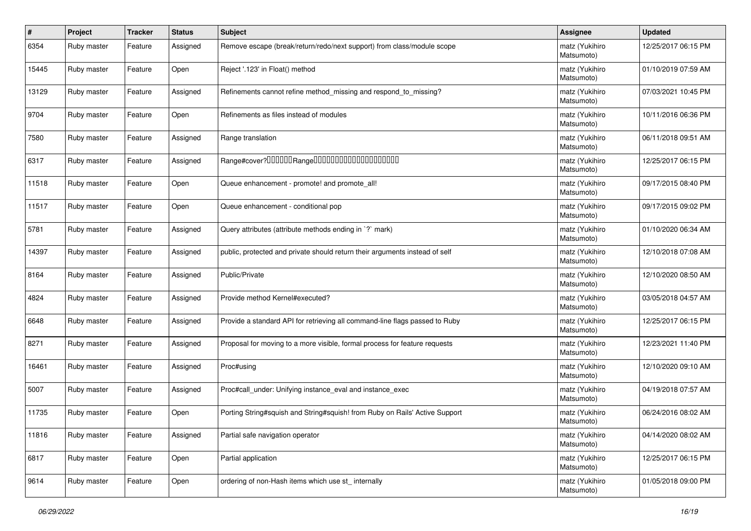| #     | Project     | <b>Tracker</b> | <b>Status</b> | <b>Subject</b>                                                              | <b>Assignee</b>              | <b>Updated</b>      |
|-------|-------------|----------------|---------------|-----------------------------------------------------------------------------|------------------------------|---------------------|
| 6354  | Ruby master | Feature        | Assigned      | Remove escape (break/return/redo/next support) from class/module scope      | matz (Yukihiro<br>Matsumoto) | 12/25/2017 06:15 PM |
| 15445 | Ruby master | Feature        | Open          | Reject '.123' in Float() method                                             | matz (Yukihiro<br>Matsumoto) | 01/10/2019 07:59 AM |
| 13129 | Ruby master | Feature        | Assigned      | Refinements cannot refine method_missing and respond_to_missing?            | matz (Yukihiro<br>Matsumoto) | 07/03/2021 10:45 PM |
| 9704  | Ruby master | Feature        | Open          | Refinements as files instead of modules                                     | matz (Yukihiro<br>Matsumoto) | 10/11/2016 06:36 PM |
| 7580  | Ruby master | Feature        | Assigned      | Range translation                                                           | matz (Yukihiro<br>Matsumoto) | 06/11/2018 09:51 AM |
| 6317  | Ruby master | Feature        | Assigned      |                                                                             | matz (Yukihiro<br>Matsumoto) | 12/25/2017 06:15 PM |
| 11518 | Ruby master | Feature        | Open          | Queue enhancement - promote! and promote_all!                               | matz (Yukihiro<br>Matsumoto) | 09/17/2015 08:40 PM |
| 11517 | Ruby master | Feature        | Open          | Queue enhancement - conditional pop                                         | matz (Yukihiro<br>Matsumoto) | 09/17/2015 09:02 PM |
| 5781  | Ruby master | Feature        | Assigned      | Query attributes (attribute methods ending in `?` mark)                     | matz (Yukihiro<br>Matsumoto) | 01/10/2020 06:34 AM |
| 14397 | Ruby master | Feature        | Assigned      | public, protected and private should return their arguments instead of self | matz (Yukihiro<br>Matsumoto) | 12/10/2018 07:08 AM |
| 8164  | Ruby master | Feature        | Assigned      | Public/Private                                                              | matz (Yukihiro<br>Matsumoto) | 12/10/2020 08:50 AM |
| 4824  | Ruby master | Feature        | Assigned      | Provide method Kernel#executed?                                             | matz (Yukihiro<br>Matsumoto) | 03/05/2018 04:57 AM |
| 6648  | Ruby master | Feature        | Assigned      | Provide a standard API for retrieving all command-line flags passed to Ruby | matz (Yukihiro<br>Matsumoto) | 12/25/2017 06:15 PM |
| 8271  | Ruby master | Feature        | Assigned      | Proposal for moving to a more visible, formal process for feature requests  | matz (Yukihiro<br>Matsumoto) | 12/23/2021 11:40 PM |
| 16461 | Ruby master | Feature        | Assigned      | Proc#using                                                                  | matz (Yukihiro<br>Matsumoto) | 12/10/2020 09:10 AM |
| 5007  | Ruby master | Feature        | Assigned      | Proc#call_under: Unifying instance_eval and instance_exec                   | matz (Yukihiro<br>Matsumoto) | 04/19/2018 07:57 AM |
| 11735 | Ruby master | Feature        | Open          | Porting String#squish and String#squish! from Ruby on Rails' Active Support | matz (Yukihiro<br>Matsumoto) | 06/24/2016 08:02 AM |
| 11816 | Ruby master | Feature        | Assigned      | Partial safe navigation operator                                            | matz (Yukihiro<br>Matsumoto) | 04/14/2020 08:02 AM |
| 6817  | Ruby master | Feature        | Open          | Partial application                                                         | matz (Yukihiro<br>Matsumoto) | 12/25/2017 06:15 PM |
| 9614  | Ruby master | Feature        | Open          | ordering of non-Hash items which use st_internally                          | matz (Yukihiro<br>Matsumoto) | 01/05/2018 09:00 PM |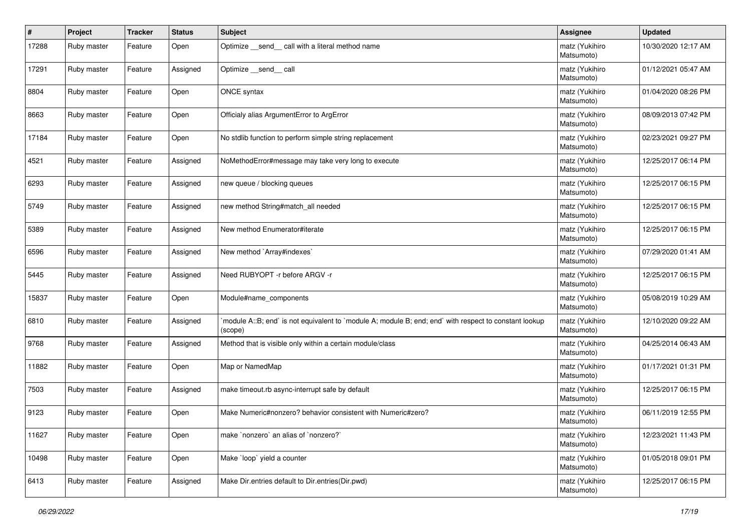| $\#$  | Project     | <b>Tracker</b> | <b>Status</b> | <b>Subject</b>                                                                                                   | <b>Assignee</b>              | <b>Updated</b>      |
|-------|-------------|----------------|---------------|------------------------------------------------------------------------------------------------------------------|------------------------------|---------------------|
| 17288 | Ruby master | Feature        | Open          | Optimize send call with a literal method name                                                                    | matz (Yukihiro<br>Matsumoto) | 10/30/2020 12:17 AM |
| 17291 | Ruby master | Feature        | Assigned      | Optimize __send__ call                                                                                           | matz (Yukihiro<br>Matsumoto) | 01/12/2021 05:47 AM |
| 8804  | Ruby master | Feature        | Open          | ONCE syntax                                                                                                      | matz (Yukihiro<br>Matsumoto) | 01/04/2020 08:26 PM |
| 8663  | Ruby master | Feature        | Open          | Officialy alias ArgumentError to ArgError                                                                        | matz (Yukihiro<br>Matsumoto) | 08/09/2013 07:42 PM |
| 17184 | Ruby master | Feature        | Open          | No stdlib function to perform simple string replacement                                                          | matz (Yukihiro<br>Matsumoto) | 02/23/2021 09:27 PM |
| 4521  | Ruby master | Feature        | Assigned      | NoMethodError#message may take very long to execute                                                              | matz (Yukihiro<br>Matsumoto) | 12/25/2017 06:14 PM |
| 6293  | Ruby master | Feature        | Assigned      | new queue / blocking queues                                                                                      | matz (Yukihiro<br>Matsumoto) | 12/25/2017 06:15 PM |
| 5749  | Ruby master | Feature        | Assigned      | new method String#match_all needed                                                                               | matz (Yukihiro<br>Matsumoto) | 12/25/2017 06:15 PM |
| 5389  | Ruby master | Feature        | Assigned      | New method Enumerator#iterate                                                                                    | matz (Yukihiro<br>Matsumoto) | 12/25/2017 06:15 PM |
| 6596  | Ruby master | Feature        | Assigned      | New method `Array#indexes`                                                                                       | matz (Yukihiro<br>Matsumoto) | 07/29/2020 01:41 AM |
| 5445  | Ruby master | Feature        | Assigned      | Need RUBYOPT - r before ARGV - r                                                                                 | matz (Yukihiro<br>Matsumoto) | 12/25/2017 06:15 PM |
| 15837 | Ruby master | Feature        | Open          | Module#name_components                                                                                           | matz (Yukihiro<br>Matsumoto) | 05/08/2019 10:29 AM |
| 6810  | Ruby master | Feature        | Assigned      | module A::B; end` is not equivalent to `module A; module B; end; end` with respect to constant lookup<br>(scope) | matz (Yukihiro<br>Matsumoto) | 12/10/2020 09:22 AM |
| 9768  | Ruby master | Feature        | Assigned      | Method that is visible only within a certain module/class                                                        | matz (Yukihiro<br>Matsumoto) | 04/25/2014 06:43 AM |
| 11882 | Ruby master | Feature        | Open          | Map or NamedMap                                                                                                  | matz (Yukihiro<br>Matsumoto) | 01/17/2021 01:31 PM |
| 7503  | Ruby master | Feature        | Assigned      | make timeout.rb async-interrupt safe by default                                                                  | matz (Yukihiro<br>Matsumoto) | 12/25/2017 06:15 PM |
| 9123  | Ruby master | Feature        | Open          | Make Numeric#nonzero? behavior consistent with Numeric#zero?                                                     | matz (Yukihiro<br>Matsumoto) | 06/11/2019 12:55 PM |
| 11627 | Ruby master | Feature        | Open          | make `nonzero` an alias of `nonzero?`                                                                            | matz (Yukihiro<br>Matsumoto) | 12/23/2021 11:43 PM |
| 10498 | Ruby master | Feature        | Open          | Make 'loop' yield a counter                                                                                      | matz (Yukihiro<br>Matsumoto) | 01/05/2018 09:01 PM |
| 6413  | Ruby master | Feature        | Assigned      | Make Dir.entries default to Dir.entries(Dir.pwd)                                                                 | matz (Yukihiro<br>Matsumoto) | 12/25/2017 06:15 PM |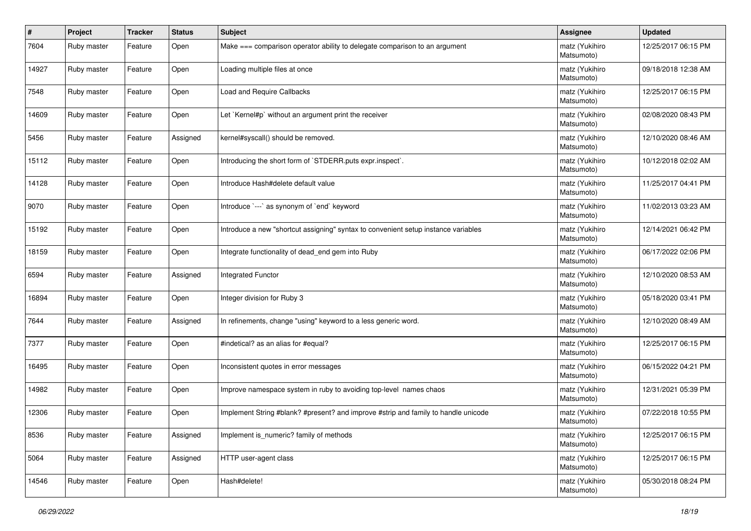| #     | Project     | <b>Tracker</b> | <b>Status</b> | <b>Subject</b>                                                                     | <b>Assignee</b>              | <b>Updated</b>      |
|-------|-------------|----------------|---------------|------------------------------------------------------------------------------------|------------------------------|---------------------|
| 7604  | Ruby master | Feature        | Open          | Make === comparison operator ability to delegate comparison to an argument         | matz (Yukihiro<br>Matsumoto) | 12/25/2017 06:15 PM |
| 14927 | Ruby master | Feature        | Open          | Loading multiple files at once                                                     | matz (Yukihiro<br>Matsumoto) | 09/18/2018 12:38 AM |
| 7548  | Ruby master | Feature        | Open          | Load and Require Callbacks                                                         | matz (Yukihiro<br>Matsumoto) | 12/25/2017 06:15 PM |
| 14609 | Ruby master | Feature        | Open          | Let `Kernel#p` without an argument print the receiver                              | matz (Yukihiro<br>Matsumoto) | 02/08/2020 08:43 PM |
| 5456  | Ruby master | Feature        | Assigned      | kernel#syscall() should be removed.                                                | matz (Yukihiro<br>Matsumoto) | 12/10/2020 08:46 AM |
| 15112 | Ruby master | Feature        | Open          | Introducing the short form of `STDERR.puts expr.inspect`.                          | matz (Yukihiro<br>Matsumoto) | 10/12/2018 02:02 AM |
| 14128 | Ruby master | Feature        | Open          | Introduce Hash#delete default value                                                | matz (Yukihiro<br>Matsumoto) | 11/25/2017 04:41 PM |
| 9070  | Ruby master | Feature        | Open          | Introduce `---` as synonym of `end` keyword                                        | matz (Yukihiro<br>Matsumoto) | 11/02/2013 03:23 AM |
| 15192 | Ruby master | Feature        | Open          | Introduce a new "shortcut assigning" syntax to convenient setup instance variables | matz (Yukihiro<br>Matsumoto) | 12/14/2021 06:42 PM |
| 18159 | Ruby master | Feature        | Open          | Integrate functionality of dead_end gem into Ruby                                  | matz (Yukihiro<br>Matsumoto) | 06/17/2022 02:06 PM |
| 6594  | Ruby master | Feature        | Assigned      | Integrated Functor                                                                 | matz (Yukihiro<br>Matsumoto) | 12/10/2020 08:53 AM |
| 16894 | Ruby master | Feature        | Open          | Integer division for Ruby 3                                                        | matz (Yukihiro<br>Matsumoto) | 05/18/2020 03:41 PM |
| 7644  | Ruby master | Feature        | Assigned      | In refinements, change "using" keyword to a less generic word.                     | matz (Yukihiro<br>Matsumoto) | 12/10/2020 08:49 AM |
| 7377  | Ruby master | Feature        | Open          | #indetical? as an alias for #equal?                                                | matz (Yukihiro<br>Matsumoto) | 12/25/2017 06:15 PM |
| 16495 | Ruby master | Feature        | Open          | Inconsistent quotes in error messages                                              | matz (Yukihiro<br>Matsumoto) | 06/15/2022 04:21 PM |
| 14982 | Ruby master | Feature        | Open          | Improve namespace system in ruby to avoiding top-level names chaos                 | matz (Yukihiro<br>Matsumoto) | 12/31/2021 05:39 PM |
| 12306 | Ruby master | Feature        | Open          | Implement String #blank? #present? and improve #strip and family to handle unicode | matz (Yukihiro<br>Matsumoto) | 07/22/2018 10:55 PM |
| 8536  | Ruby master | Feature        | Assigned      | Implement is_numeric? family of methods                                            | matz (Yukihiro<br>Matsumoto) | 12/25/2017 06:15 PM |
| 5064  | Ruby master | Feature        | Assigned      | HTTP user-agent class                                                              | matz (Yukihiro<br>Matsumoto) | 12/25/2017 06:15 PM |
| 14546 | Ruby master | Feature        | Open          | Hash#delete!                                                                       | matz (Yukihiro<br>Matsumoto) | 05/30/2018 08:24 PM |